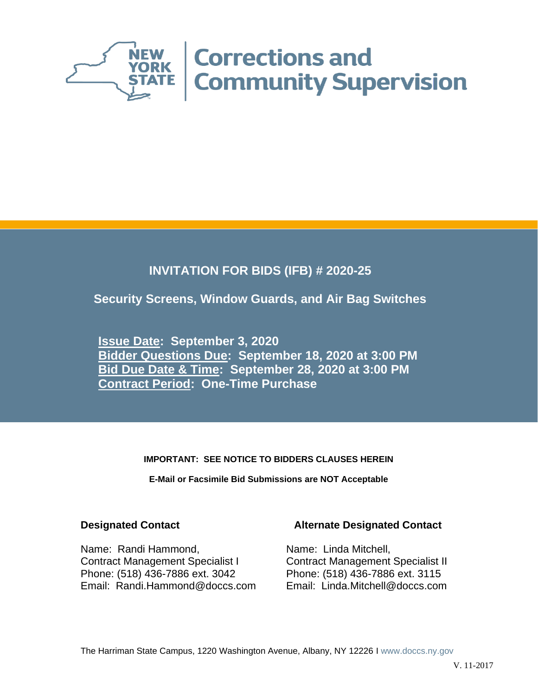

# **INVITATION FOR BIDS (IFB) # 2020-25**

# **Security Screens, Window Guards, and Air Bag Switches**

**Issue Date: September 3, 2020 Bidder Questions Due: September 18, 2020 at 3:00 PM Bid Due Date & Time: September 28, 2020 at 3:00 PM Contract Period: One-Time Purchase**

# **IMPORTANT: SEE NOTICE TO BIDDERS CLAUSES HEREIN**

**E-Mail or Facsimile Bid Submissions are NOT Acceptable**

Name: Randi Hammond, Contract Management Specialist I Phone: (518) 436-7886 ext. 3042 Phone: (518) 436-7886 ext. 3115 Email: Randi.Hammond@doccs.com Email: Linda.Mitchell@doccs.com

# **Designated Contact Alternate Designated Contact**

Name: Linda Mitchell, Contract Management Specialist II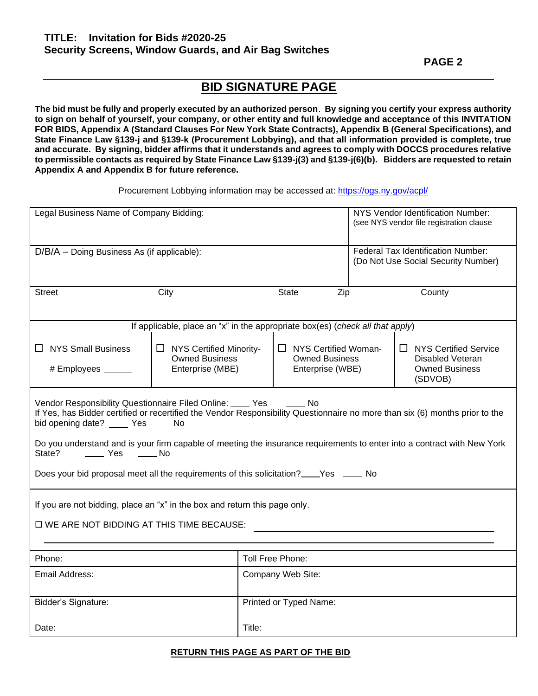**PAGE 2** 

# **BID SIGNATURE PAGE**

**The bid must be fully and properly executed by an authorized person**. **By signing you certify your express authority to sign on behalf of yourself, your company, or other entity and full knowledge and acceptance of this INVITATION FOR BIDS, Appendix A (Standard Clauses For New York State Contracts), Appendix B (General Specifications), and State Finance Law §139-j and §139-k (Procurement Lobbying), and that all information provided is complete, true and accurate. By signing, bidder affirms that it understands and agrees to comply with DOCCS procedures relative to permissible contacts as required by State Finance Law §139-j(3) and §139-j(6)(b). Bidders are requested to retain Appendix A and Appendix B for future reference.**

Procurement Lobbying information may be accessed at: <https://ogs.ny.gov/acpl/>

| Legal Business Name of Company Bidding:                                                                                                                                                                                                                                                                                                                                                                                                                                                                                    |                                                                               |  |                                                                                                                                  |  | NYS Vendor Identification Number:<br>(see NYS vendor file registration clause |  |
|----------------------------------------------------------------------------------------------------------------------------------------------------------------------------------------------------------------------------------------------------------------------------------------------------------------------------------------------------------------------------------------------------------------------------------------------------------------------------------------------------------------------------|-------------------------------------------------------------------------------|--|----------------------------------------------------------------------------------------------------------------------------------|--|-------------------------------------------------------------------------------|--|
| D/B/A - Doing Business As (if applicable):                                                                                                                                                                                                                                                                                                                                                                                                                                                                                 |                                                                               |  |                                                                                                                                  |  | Federal Tax Identification Number:<br>(Do Not Use Social Security Number)     |  |
| <b>Street</b>                                                                                                                                                                                                                                                                                                                                                                                                                                                                                                              | City<br><b>State</b><br>Zip                                                   |  |                                                                                                                                  |  | County                                                                        |  |
|                                                                                                                                                                                                                                                                                                                                                                                                                                                                                                                            | If applicable, place an "x" in the appropriate box(es) (check all that apply) |  |                                                                                                                                  |  |                                                                               |  |
| $\Box$ NYS Small Business<br>$\Box$ NYS Certified Minority-<br><b>Owned Business</b><br>Enterprise (MBE)<br># Employees ______                                                                                                                                                                                                                                                                                                                                                                                             |                                                                               |  | $\Box$ NYS Certified Woman-<br><b>Owned Business</b><br>Disabled Veteran<br><b>Owned Business</b><br>Enterprise (WBE)<br>(SDVOB) |  | $\Box$ NYS Certified Service                                                  |  |
| Vendor Responsibility Questionnaire Filed Online: ____ Yes<br>$\frac{1}{2}$ No<br>If Yes, has Bidder certified or recertified the Vendor Responsibility Questionnaire no more than six (6) months prior to the<br>bid opening date? _____ Yes ____ No<br>Do you understand and is your firm capable of meeting the insurance requirements to enter into a contract with New York<br>Yes<br>State?<br>$\overline{\phantom{a}}$ No<br>Does your bid proposal meet all the requirements of this solicitation?____Yes _____ No |                                                                               |  |                                                                                                                                  |  |                                                                               |  |
| If you are not bidding, place an "x" in the box and return this page only.<br>□ WE ARE NOT BIDDING AT THIS TIME BECAUSE:                                                                                                                                                                                                                                                                                                                                                                                                   |                                                                               |  |                                                                                                                                  |  |                                                                               |  |
| Phone:<br>Toll Free Phone:                                                                                                                                                                                                                                                                                                                                                                                                                                                                                                 |                                                                               |  |                                                                                                                                  |  |                                                                               |  |
| Email Address:                                                                                                                                                                                                                                                                                                                                                                                                                                                                                                             | Company Web Site:                                                             |  |                                                                                                                                  |  |                                                                               |  |
| Bidder's Signature:<br>Printed or Typed Name:                                                                                                                                                                                                                                                                                                                                                                                                                                                                              |                                                                               |  |                                                                                                                                  |  |                                                                               |  |
| Title:<br>Date:                                                                                                                                                                                                                                                                                                                                                                                                                                                                                                            |                                                                               |  |                                                                                                                                  |  |                                                                               |  |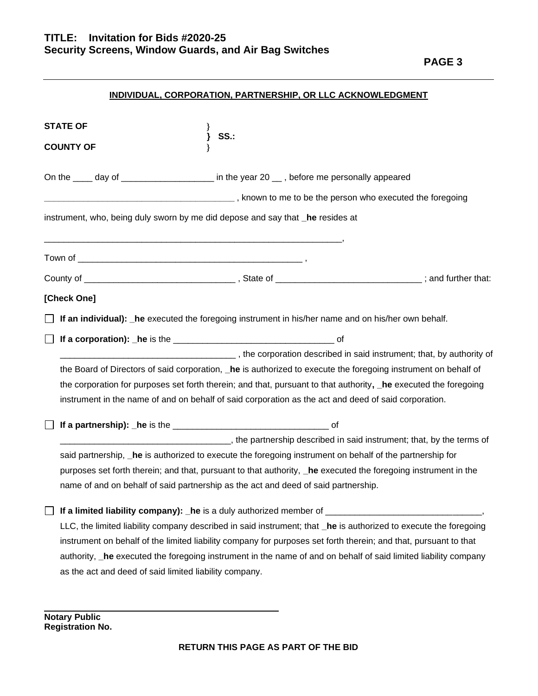# **INDIVIDUAL, CORPORATION, PARTNERSHIP, OR LLC ACKNOWLEDGMENT**

| <b>STATE OF</b>                                        | <b>SS.:</b>                                                                                              |                                                                                                                                        |
|--------------------------------------------------------|----------------------------------------------------------------------------------------------------------|----------------------------------------------------------------------------------------------------------------------------------------|
| <b>COUNTY OF</b>                                       |                                                                                                          |                                                                                                                                        |
|                                                        | On the ____ day of ___________________ in the year 20 __ , before me personally appeared                 |                                                                                                                                        |
|                                                        |                                                                                                          |                                                                                                                                        |
|                                                        | instrument, who, being duly sworn by me did depose and say that _he resides at                           |                                                                                                                                        |
|                                                        |                                                                                                          |                                                                                                                                        |
|                                                        |                                                                                                          |                                                                                                                                        |
| [Check One]                                            |                                                                                                          |                                                                                                                                        |
|                                                        | If an individual): he executed the foregoing instrument in his/her name and on his/her own behalf.       |                                                                                                                                        |
|                                                        |                                                                                                          |                                                                                                                                        |
|                                                        |                                                                                                          | the corporation described in said instrument; that, by authority of (1) proportion described in said instrument; that, by authority of |
|                                                        |                                                                                                          | the Board of Directors of said corporation, _he is authorized to execute the foregoing instrument on behalf of                         |
|                                                        |                                                                                                          | the corporation for purposes set forth therein; and that, pursuant to that authority, he executed the foregoing                        |
|                                                        | instrument in the name of and on behalf of said corporation as the act and deed of said corporation.     |                                                                                                                                        |
|                                                        |                                                                                                          |                                                                                                                                        |
|                                                        |                                                                                                          | the partnership described in said instrument; that, by the terms of the terms of                                                       |
|                                                        | said partnership, _he is authorized to execute the foregoing instrument on behalf of the partnership for |                                                                                                                                        |
|                                                        |                                                                                                          | purposes set forth therein; and that, pursuant to that authority, _he executed the foregoing instrument in the                         |
|                                                        | name of and on behalf of said partnership as the act and deed of said partnership.                       |                                                                                                                                        |
|                                                        | If a limited liability company): _ he is a duly authorized member of _                                   |                                                                                                                                        |
|                                                        |                                                                                                          | LLC, the limited liability company described in said instrument; that _he is authorized to execute the foregoing                       |
|                                                        |                                                                                                          | instrument on behalf of the limited liability company for purposes set forth therein; and that, pursuant to that                       |
|                                                        |                                                                                                          | authority, _he executed the foregoing instrument in the name of and on behalf of said limited liability company                        |
| as the act and deed of said limited liability company. |                                                                                                          |                                                                                                                                        |
|                                                        |                                                                                                          |                                                                                                                                        |

**Notary Public Registration No.**

\_\_\_\_\_\_\_\_\_\_\_\_\_\_\_\_\_\_\_\_\_\_\_\_\_\_\_\_\_\_\_\_\_\_\_\_\_\_\_\_\_\_\_\_\_\_\_\_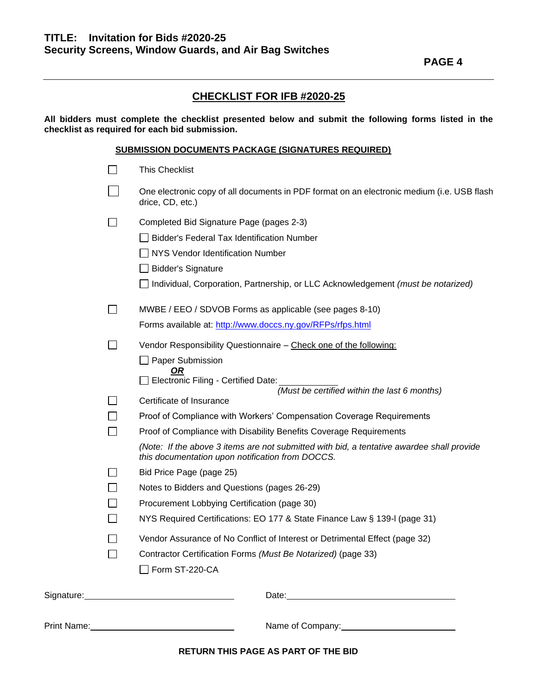# **PAGE 4**

# **CHECKLIST FOR IFB #2020-25**

**All bidders must complete the checklist presented below and submit the following forms listed in the checklist as required for each bid submission.**

# **SUBMISSION DOCUMENTS PACKAGE (SIGNATURES REQUIRED)**

|                | Print Name: Manual Annual Annual Annual Annual Annual Annual Annual Annual Annual Annual Annual Annual Annual                                                                                                                       |
|----------------|-------------------------------------------------------------------------------------------------------------------------------------------------------------------------------------------------------------------------------------|
|                | Date: <u>example</u> and a series of the series of the series of the series of the series of the series of the series of the series of the series of the series of the series of the series of the series of the series of the seri |
|                | Form ST-220-CA                                                                                                                                                                                                                      |
|                | Contractor Certification Forms (Must Be Notarized) (page 33)                                                                                                                                                                        |
|                | Vendor Assurance of No Conflict of Interest or Detrimental Effect (page 32)                                                                                                                                                         |
|                | NYS Required Certifications: EO 177 & State Finance Law § 139-I (page 31)                                                                                                                                                           |
|                | Procurement Lobbying Certification (page 30)                                                                                                                                                                                        |
|                | Notes to Bidders and Questions (pages 26-29)                                                                                                                                                                                        |
|                | Bid Price Page (page 25)                                                                                                                                                                                                            |
|                | (Note: If the above 3 items are not submitted with bid, a tentative awardee shall provide<br>this documentation upon notification from DOCCS.                                                                                       |
|                | Proof of Compliance with Disability Benefits Coverage Requirements                                                                                                                                                                  |
|                | Proof of Compliance with Workers' Compensation Coverage Requirements                                                                                                                                                                |
| $\blacksquare$ | Certificate of Insurance                                                                                                                                                                                                            |
|                | Electronic Filing - Certified Date:<br>(Must be certified within the last 6 months)                                                                                                                                                 |
|                | <b>OR</b>                                                                                                                                                                                                                           |
|                | Vendor Responsibility Questionnaire - Check one of the following:<br>Paper Submission                                                                                                                                               |
|                |                                                                                                                                                                                                                                     |
|                | Forms available at: http://www.doccs.ny.gov/RFPs/rfps.html                                                                                                                                                                          |
| $\blacksquare$ | MWBE / EEO / SDVOB Forms as applicable (see pages 8-10)                                                                                                                                                                             |
|                | Individual, Corporation, Partnership, or LLC Acknowledgement (must be notarized)                                                                                                                                                    |
|                | <b>Bidder's Signature</b>                                                                                                                                                                                                           |
|                | NYS Vendor Identification Number                                                                                                                                                                                                    |
|                | <b>Bidder's Federal Tax Identification Number</b>                                                                                                                                                                                   |
|                | Completed Bid Signature Page (pages 2-3)                                                                                                                                                                                            |
|                | One electronic copy of all documents in PDF format on an electronic medium (i.e. USB flash<br>drice, CD, etc.)                                                                                                                      |
|                | <b>This Checklist</b>                                                                                                                                                                                                               |
|                |                                                                                                                                                                                                                                     |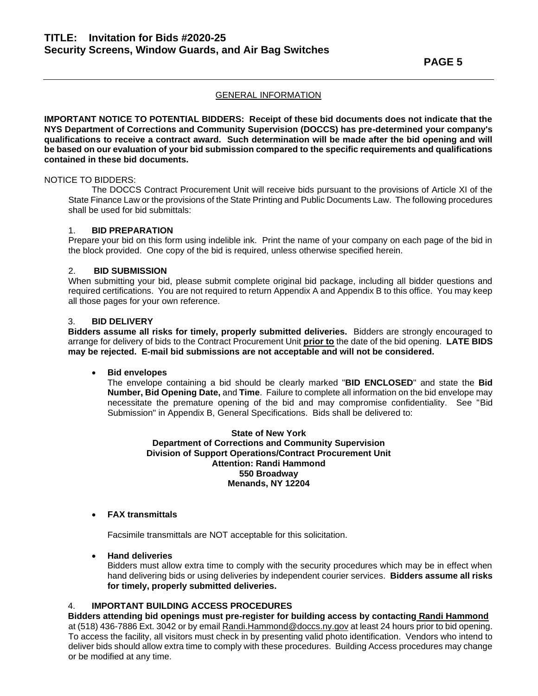**IMPORTANT NOTICE TO POTENTIAL BIDDERS: Receipt of these bid documents does not indicate that the NYS Department of Corrections and Community Supervision (DOCCS) has pre-determined your company's qualifications to receive a contract award. Such determination will be made after the bid opening and will be based on our evaluation of your bid submission compared to the specific requirements and qualifications contained in these bid documents.**

# NOTICE TO BIDDERS:

The DOCCS Contract Procurement Unit will receive bids pursuant to the provisions of Article XI of the State Finance Law or the provisions of the State Printing and Public Documents Law. The following procedures shall be used for bid submittals:

#### 1. **BID PREPARATION**

Prepare your bid on this form using indelible ink. Print the name of your company on each page of the bid in the block provided. One copy of the bid is required, unless otherwise specified herein.

#### 2. **BID SUBMISSION**

When submitting your bid, please submit complete original bid package, including all bidder questions and required certifications. You are not required to return Appendix A and Appendix B to this office. You may keep all those pages for your own reference.

#### 3. **BID DELIVERY**

**Bidders assume all risks for timely, properly submitted deliveries.** Bidders are strongly encouraged to arrange for delivery of bids to the Contract Procurement Unit **prior to** the date of the bid opening. **LATE BIDS may be rejected. E-mail bid submissions are not acceptable and will not be considered.**

#### • **Bid envelopes**

The envelope containing a bid should be clearly marked "**BID ENCLOSED**" and state the **Bid Number, Bid Opening Date,** and **Time**. Failure to complete all information on the bid envelope may necessitate the premature opening of the bid and may compromise confidentiality. See "Bid Submission" in Appendix B, General Specifications. Bids shall be delivered to:

#### **State of New York Department of Corrections and Community Supervision Division of Support Operations/Contract Procurement Unit Attention: Randi Hammond 550 Broadway Menands, NY 12204**

### • **FAX transmittals**

Facsimile transmittals are NOT acceptable for this solicitation.

### • **Hand deliveries**

Bidders must allow extra time to comply with the security procedures which may be in effect when hand delivering bids or using deliveries by independent courier services. **Bidders assume all risks for timely, properly submitted deliveries.** 

### 4. **IMPORTANT BUILDING ACCESS PROCEDURES**

**Bidders attending bid openings must pre-register for building access by contacting Randi Hammond** at (518) 436-7886 Ext. 3042 or by email Randi.Hammond@doccs.ny.gov at least 24 hours prior to bid opening. To access the facility, all visitors must check in by presenting valid photo identification. Vendors who intend to deliver bids should allow extra time to comply with these procedures. Building Access procedures may change or be modified at any time.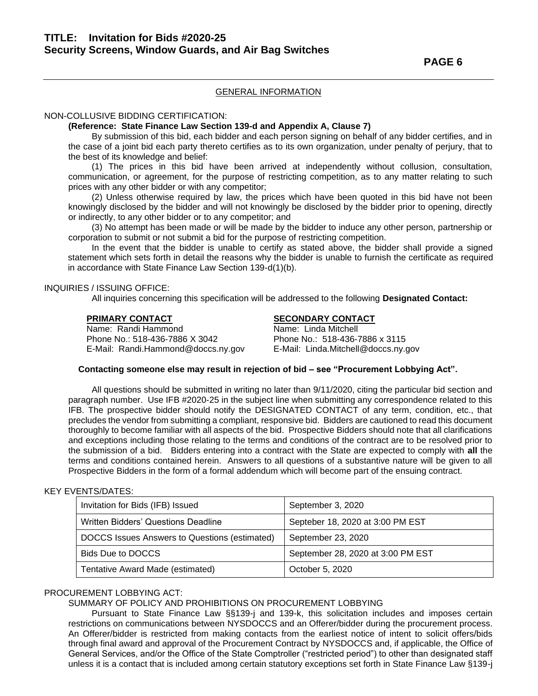#### NON-COLLUSIVE BIDDING CERTIFICATION:

### **(Reference: State Finance Law Section 139-d and Appendix A, Clause 7)**

By submission of this bid, each bidder and each person signing on behalf of any bidder certifies, and in the case of a joint bid each party thereto certifies as to its own organization, under penalty of perjury, that to the best of its knowledge and belief:

(1) The prices in this bid have been arrived at independently without collusion, consultation, communication, or agreement, for the purpose of restricting competition, as to any matter relating to such prices with any other bidder or with any competitor;

(2) Unless otherwise required by law, the prices which have been quoted in this bid have not been knowingly disclosed by the bidder and will not knowingly be disclosed by the bidder prior to opening, directly or indirectly, to any other bidder or to any competitor; and

(3) No attempt has been made or will be made by the bidder to induce any other person, partnership or corporation to submit or not submit a bid for the purpose of restricting competition.

In the event that the bidder is unable to certify as stated above, the bidder shall provide a signed statement which sets forth in detail the reasons why the bidder is unable to furnish the certificate as required in accordance with State Finance Law Section 139-d(1)(b).

#### INQUIRIES / ISSUING OFFICE:

All inquiries concerning this specification will be addressed to the following **Designated Contact:**

Name: Randi Hammond Name: Linda Mitchell Phone No.: 518-436-7886 X 3042 Phone No.: 518-436-7886 x 3115 E-Mail: Randi.Hammond@doccs.ny.gov E-Mail: Linda.Mitchell@doccs.ny.gov

#### **PRIMARY CONTACT SECONDARY CONTACT**

#### **Contacting someone else may result in rejection of bid – see "Procurement Lobbying Act".**

All questions should be submitted in writing no later than 9/11/2020, citing the particular bid section and paragraph number. Use IFB #2020-25 in the subject line when submitting any correspondence related to this IFB. The prospective bidder should notify the DESIGNATED CONTACT of any term, condition, etc., that precludes the vendor from submitting a compliant, responsive bid. Bidders are cautioned to read this document thoroughly to become familiar with all aspects of the bid. Prospective Bidders should note that all clarifications and exceptions including those relating to the terms and conditions of the contract are to be resolved prior to the submission of a bid. Bidders entering into a contract with the State are expected to comply with **all** the terms and conditions contained herein. Answers to all questions of a substantive nature will be given to all Prospective Bidders in the form of a formal addendum which will become part of the ensuing contract.

#### KEY EVENTS/DATES:

| Invitation for Bids (IFB) Issued              | September 3, 2020                 |
|-----------------------------------------------|-----------------------------------|
| Written Bidders' Questions Deadline           | Septeber 18, 2020 at 3:00 PM EST  |
| DOCCS Issues Answers to Questions (estimated) | September 23, 2020                |
| Bids Due to DOCCS                             | September 28, 2020 at 3:00 PM EST |
| Tentative Award Made (estimated)              | October 5, 2020                   |

### PROCUREMENT LOBBYING ACT:

### SUMMARY OF POLICY AND PROHIBITIONS ON PROCUREMENT LOBBYING

Pursuant to State Finance Law §§139-j and 139-k, this solicitation includes and imposes certain restrictions on communications between NYSDOCCS and an Offerer/bidder during the procurement process. An Offerer/bidder is restricted from making contacts from the earliest notice of intent to solicit offers/bids through final award and approval of the Procurement Contract by NYSDOCCS and, if applicable, the Office of General Services, and/or the Office of the State Comptroller ("restricted period") to other than designated staff unless it is a contact that is included among certain statutory exceptions set forth in State Finance Law §139-j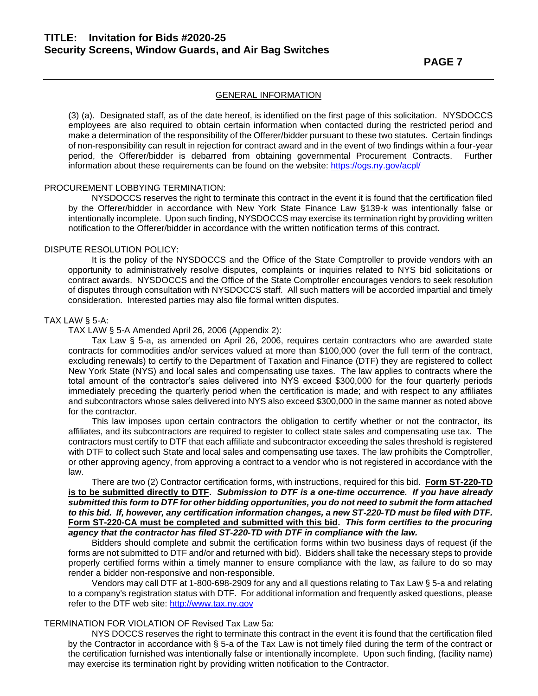(3) (a). Designated staff, as of the date hereof, is identified on the first page of this solicitation. NYSDOCCS employees are also required to obtain certain information when contacted during the restricted period and make a determination of the responsibility of the Offerer/bidder pursuant to these two statutes. Certain findings of non-responsibility can result in rejection for contract award and in the event of two findings within a four-year period, the Offerer/bidder is debarred from obtaining governmental Procurement Contracts. Further information about these requirements can be found on the website: <https://ogs.ny.gov/acpl/>

#### PROCUREMENT LOBBYING TERMINATION:

NYSDOCCS reserves the right to terminate this contract in the event it is found that the certification filed by the Offerer/bidder in accordance with New York State Finance Law §139-k was intentionally false or intentionally incomplete. Upon such finding, NYSDOCCS may exercise its termination right by providing written notification to the Offerer/bidder in accordance with the written notification terms of this contract.

#### DISPUTE RESOLUTION POLICY:

It is the policy of the NYSDOCCS and the Office of the State Comptroller to provide vendors with an opportunity to administratively resolve disputes, complaints or inquiries related to NYS bid solicitations or contract awards. NYSDOCCS and the Office of the State Comptroller encourages vendors to seek resolution of disputes through consultation with NYSDOCCS staff. All such matters will be accorded impartial and timely consideration. Interested parties may also file formal written disputes.

#### TAX LAW § 5-A:

TAX LAW § 5-A Amended April 26, 2006 (Appendix 2):

Tax Law § 5-a, as amended on April 26, 2006, requires certain contractors who are awarded state contracts for commodities and/or services valued at more than \$100,000 (over the full term of the contract, excluding renewals) to certify to the Department of Taxation and Finance (DTF) they are registered to collect New York State (NYS) and local sales and compensating use taxes. The law applies to contracts where the total amount of the contractor's sales delivered into NYS exceed \$300,000 for the four quarterly periods immediately preceding the quarterly period when the certification is made; and with respect to any affiliates and subcontractors whose sales delivered into NYS also exceed \$300,000 in the same manner as noted above for the contractor.

This law imposes upon certain contractors the obligation to certify whether or not the contractor, its affiliates, and its subcontractors are required to register to collect state sales and compensating use tax. The contractors must certify to DTF that each affiliate and subcontractor exceeding the sales threshold is registered with DTF to collect such State and local sales and compensating use taxes. The law prohibits the Comptroller, or other approving agency, from approving a contract to a vendor who is not registered in accordance with the law.

There are two (2) Contractor certification forms, with instructions, required for this bid. **Form ST-220-TD is to be submitted directly to DTF.** *Submission to DTF is a one-time occurrence. If you have already submitted this form to DTF for other bidding opportunities, you do not need to submit the form attached to this bid. If, however, any certification information changes, a new ST-220-TD must be filed with DTF.* **Form ST-220-CA must be completed and submitted with this bid.** *This form certifies to the procuring agency that the contractor has filed ST-220-TD with DTF in compliance with the law.*

Bidders should complete and submit the certification forms within two business days of request (if the forms are not submitted to DTF and/or and returned with bid). Bidders shall take the necessary steps to provide properly certified forms within a timely manner to ensure compliance with the law, as failure to do so may render a bidder non-responsive and non-responsible.

 Vendors may call DTF at 1-800-698-2909 for any and all questions relating to Tax Law § 5-a and relating to a company's registration status with DTF. For additional information and frequently asked questions, please refer to the DTF web site: [http://www.tax.ny.gov](http://www.tax.ny.gov/)

#### TERMINATION FOR VIOLATION OF Revised Tax Law 5a:

NYS DOCCS reserves the right to terminate this contract in the event it is found that the certification filed by the Contractor in accordance with § 5-a of the Tax Law is not timely filed during the term of the contract or the certification furnished was intentionally false or intentionally incomplete. Upon such finding*,* (facility name) may exercise its termination right by providing written notification to the Contractor.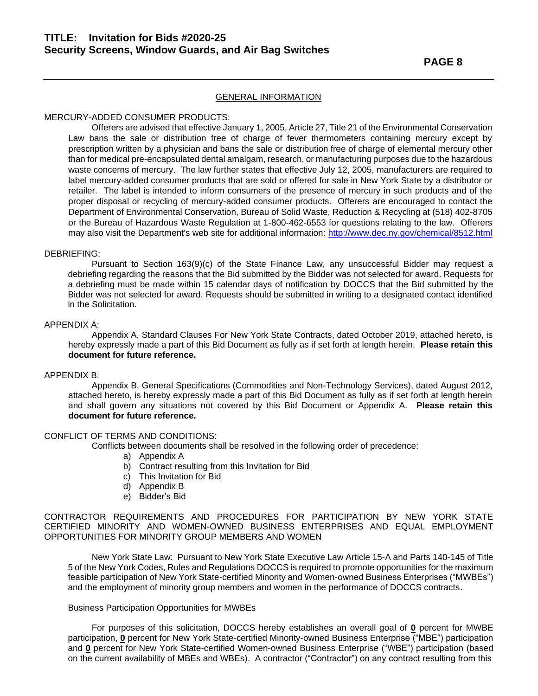#### MERCURY-ADDED CONSUMER PRODUCTS:

Offerers are advised that effective January 1, 2005, Article 27, Title 21 of the Environmental Conservation Law bans the sale or distribution free of charge of fever thermometers containing mercury except by prescription written by a physician and bans the sale or distribution free of charge of elemental mercury other than for medical pre-encapsulated dental amalgam, research, or manufacturing purposes due to the hazardous waste concerns of mercury. The law further states that effective July 12, 2005, manufacturers are required to label mercury-added consumer products that are sold or offered for sale in New York State by a distributor or retailer. The label is intended to inform consumers of the presence of mercury in such products and of the proper disposal or recycling of mercury-added consumer products. Offerers are encouraged to contact the Department of Environmental Conservation, Bureau of Solid Waste, Reduction & Recycling at (518) 402-8705 or the Bureau of Hazardous Waste Regulation at 1-800-462-6553 for questions relating to the law. Offerers may also visit the Department's web site for additional information:<http://www.dec.ny.gov/chemical/8512.html>

#### DEBRIEFING:

Pursuant to Section 163(9)(c) of the State Finance Law, any unsuccessful Bidder may request a debriefing regarding the reasons that the Bid submitted by the Bidder was not selected for award. Requests for a debriefing must be made within 15 calendar days of notification by DOCCS that the Bid submitted by the Bidder was not selected for award. Requests should be submitted in writing to a designated contact identified in the Solicitation.

#### APPENDIX A:

Appendix A, Standard Clauses For New York State Contracts, dated October 2019, attached hereto, is hereby expressly made a part of this Bid Document as fully as if set forth at length herein. **Please retain this document for future reference.**

#### APPENDIX B:

Appendix B, General Specifications (Commodities and Non-Technology Services), dated August 2012, attached hereto, is hereby expressly made a part of this Bid Document as fully as if set forth at length herein and shall govern any situations not covered by this Bid Document or Appendix A. **Please retain this document for future reference.**

# CONFLICT OF TERMS AND CONDITIONS:

Conflicts between documents shall be resolved in the following order of precedence:

- a) Appendix A
- b) Contract resulting from this Invitation for Bid
- c) This Invitation for Bid
- d) Appendix B
- e) Bidder's Bid

CONTRACTOR REQUIREMENTS AND PROCEDURES FOR PARTICIPATION BY NEW YORK STATE CERTIFIED MINORITY AND WOMEN-OWNED BUSINESS ENTERPRISES AND EQUAL EMPLOYMENT OPPORTUNITIES FOR MINORITY GROUP MEMBERS AND WOMEN

New York State Law:Pursuant to New York State Executive Law Article 15-A and Parts 140-145 of Title 5 of the New York Codes, Rules and Regulations DOCCS is required to promote opportunities for the maximum feasible participation of New York State-certified Minority and Women-owned Business Enterprises ("MWBEs") and the employment of minority group members and women in the performance of DOCCS contracts.

#### Business Participation Opportunities for MWBEs

For purposes of this solicitation, DOCCS hereby establishes an overall goal of **0** percent for MWBE participation, **0** percent for New York State-certified Minority-owned Business Enterprise ("MBE") participation and **0** percent for New York State-certified Women-owned Business Enterprise ("WBE") participation (based on the current availability of MBEs and WBEs). A contractor ("Contractor") on any contract resulting from this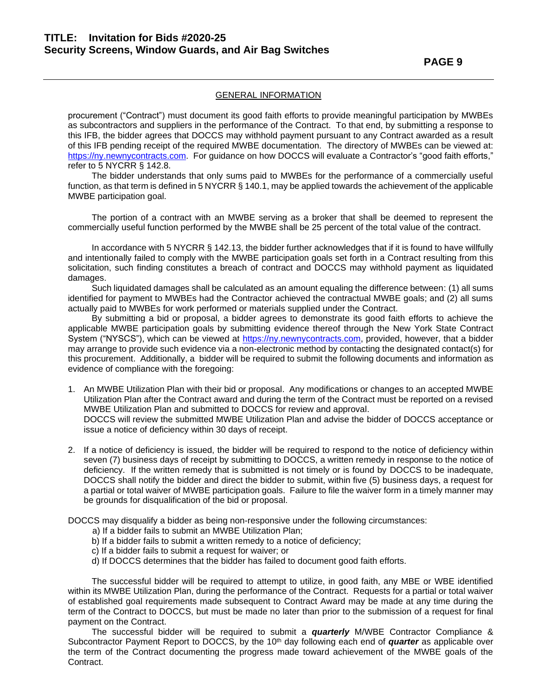procurement ("Contract") must document its good faith efforts to provide meaningful participation by MWBEs as subcontractors and suppliers in the performance of the Contract. To that end, by submitting a response to this IFB, the bidder agrees that DOCCS may withhold payment pursuant to any Contract awarded as a result of this IFB pending receipt of the required MWBE documentation. The directory of MWBEs can be viewed at: [https://ny.newnycontracts.com.](https://ny.newnycontracts.com/) For guidance on how DOCCS will evaluate a Contractor's "good faith efforts," refer to 5 NYCRR § 142.8.

The bidder understands that only sums paid to MWBEs for the performance of a commercially useful function, as that term is defined in 5 NYCRR § 140.1, may be applied towards the achievement of the applicable MWBE participation goal.

The portion of a contract with an MWBE serving as a broker that shall be deemed to represent the commercially useful function performed by the MWBE shall be 25 percent of the total value of the contract.

In accordance with 5 NYCRR § 142.13, the bidder further acknowledges that if it is found to have willfully and intentionally failed to comply with the MWBE participation goals set forth in a Contract resulting from this solicitation, such finding constitutes a breach of contract and DOCCS may withhold payment as liquidated damages.

Such liquidated damages shall be calculated as an amount equaling the difference between: (1) all sums identified for payment to MWBEs had the Contractor achieved the contractual MWBE goals; and (2) all sums actually paid to MWBEs for work performed or materials supplied under the Contract.

By submitting a bid or proposal, a bidder agrees to demonstrate its good faith efforts to achieve the applicable MWBE participation goals by submitting evidence thereof through the New York State Contract System ("NYSCS"), which can be viewed at [https://ny.newnycontracts.com,](https://ny.newnycontracts.com/) provided, however, that a bidder may arrange to provide such evidence via a non-electronic method by contacting the designated contact(s) for this procurement. Additionally, a bidder will be required to submit the following documents and information as evidence of compliance with the foregoing:

- 1. An MWBE Utilization Plan with their bid or proposal. Any modifications or changes to an accepted MWBE Utilization Plan after the Contract award and during the term of the Contract must be reported on a revised MWBE Utilization Plan and submitted to DOCCS for review and approval. DOCCS will review the submitted MWBE Utilization Plan and advise the bidder of DOCCS acceptance or issue a notice of deficiency within 30 days of receipt.
- 2. If a notice of deficiency is issued, the bidder will be required to respond to the notice of deficiency within seven (7) business days of receipt by submitting to DOCCS, a written remedy in response to the notice of deficiency. If the written remedy that is submitted is not timely or is found by DOCCS to be inadequate, DOCCS shall notify the bidder and direct the bidder to submit, within five (5) business days, a request for a partial or total waiver of MWBE participation goals. Failure to file the waiver form in a timely manner may be grounds for disqualification of the bid or proposal.

DOCCS may disqualify a bidder as being non-responsive under the following circumstances:

- a) If a bidder fails to submit an MWBE Utilization Plan;
- b) If a bidder fails to submit a written remedy to a notice of deficiency;
- c) If a bidder fails to submit a request for waiver; or
- d) If DOCCS determines that the bidder has failed to document good faith efforts.

The successful bidder will be required to attempt to utilize, in good faith, any MBE or WBE identified within its MWBE Utilization Plan, during the performance of the Contract. Requests for a partial or total waiver of established goal requirements made subsequent to Contract Award may be made at any time during the term of the Contract to DOCCS, but must be made no later than prior to the submission of a request for final payment on the Contract.

The successful bidder will be required to submit a *quarterly* M/WBE Contractor Compliance & Subcontractor Payment Report to DOCCS, by the 10<sup>th</sup> day following each end of *quarter* as applicable over the term of the Contract documenting the progress made toward achievement of the MWBE goals of the Contract.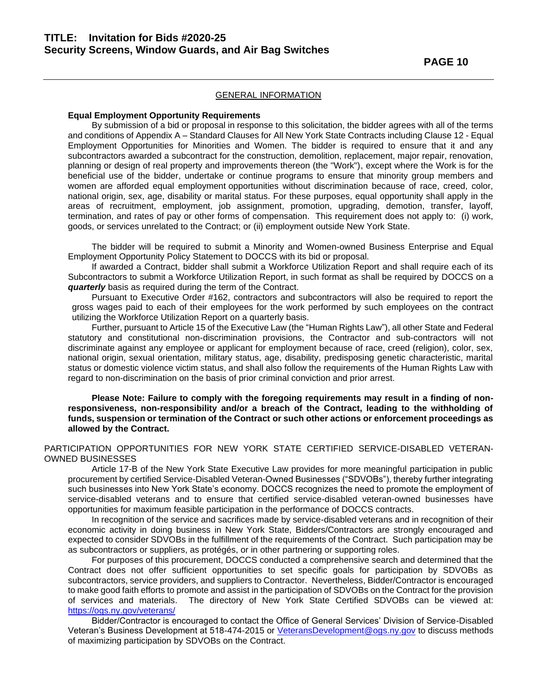#### **Equal Employment Opportunity Requirements**

By submission of a bid or proposal in response to this solicitation, the bidder agrees with all of the terms and conditions of Appendix A – Standard Clauses for All New York State Contracts including Clause 12 - Equal Employment Opportunities for Minorities and Women. The bidder is required to ensure that it and any subcontractors awarded a subcontract for the construction, demolition, replacement, major repair, renovation, planning or design of real property and improvements thereon (the "Work"), except where the Work is for the beneficial use of the bidder, undertake or continue programs to ensure that minority group members and women are afforded equal employment opportunities without discrimination because of race, creed, color, national origin, sex, age, disability or marital status. For these purposes, equal opportunity shall apply in the areas of recruitment, employment, job assignment, promotion, upgrading, demotion, transfer, layoff, termination, and rates of pay or other forms of compensation. This requirement does not apply to: (i) work, goods, or services unrelated to the Contract; or (ii) employment outside New York State.

The bidder will be required to submit a Minority and Women-owned Business Enterprise and Equal Employment Opportunity Policy Statement to DOCCS with its bid or proposal.

If awarded a Contract, bidder shall submit a Workforce Utilization Report and shall require each of its Subcontractors to submit a Workforce Utilization Report, in such format as shall be required by DOCCS on a *quarterly* basis as required during the term of the Contract.

Pursuant to Executive Order #162, contractors and subcontractors will also be required to report the gross wages paid to each of their employees for the work performed by such employees on the contract utilizing the Workforce Utilization Report on a quarterly basis.

Further, pursuant to Article 15 of the Executive Law (the "Human Rights Law"), all other State and Federal statutory and constitutional non-discrimination provisions, the Contractor and sub-contractors will not discriminate against any employee or applicant for employment because of race, creed (religion), color, sex, national origin, sexual orientation, military status, age, disability, predisposing genetic characteristic, marital status or domestic violence victim status, and shall also follow the requirements of the Human Rights Law with regard to non-discrimination on the basis of prior criminal conviction and prior arrest.

**Please Note: Failure to comply with the foregoing requirements may result in a finding of nonresponsiveness, non-responsibility and/or a breach of the Contract, leading to the withholding of funds, suspension or termination of the Contract or such other actions or enforcement proceedings as allowed by the Contract.**

### PARTICIPATION OPPORTUNITIES FOR NEW YORK STATE CERTIFIED SERVICE-DISABLED VETERAN-OWNED BUSINESSES

Article 17-B of the New York State Executive Law provides for more meaningful participation in public procurement by certified Service-Disabled Veteran-Owned Businesses ("SDVOBs"), thereby further integrating such businesses into New York State's economy. DOCCS recognizes the need to promote the employment of service-disabled veterans and to ensure that certified service-disabled veteran-owned businesses have opportunities for maximum feasible participation in the performance of DOCCS contracts.

In recognition of the service and sacrifices made by service-disabled veterans and in recognition of their economic activity in doing business in New York State, Bidders/Contractors are strongly encouraged and expected to consider SDVOBs in the fulfillment of the requirements of the Contract. Such participation may be as subcontractors or suppliers, as protégés, or in other partnering or supporting roles.

For purposes of this procurement, DOCCS conducted a comprehensive search and determined that the Contract does not offer sufficient opportunities to set specific goals for participation by SDVOBs as subcontractors, service providers, and suppliers to Contractor. Nevertheless, Bidder/Contractor is encouraged to make good faith efforts to promote and assist in the participation of SDVOBs on the Contract for the provision of services and materials. The directory of New York State Certified SDVOBs can be viewed at: <https://ogs.ny.gov/veterans/>

Bidder/Contractor is encouraged to contact the Office of General Services' Division of Service-Disabled Veteran's Business Development at 518-474-2015 or [VeteransDevelopment@ogs.ny.gov](mailto:VeteransDevelopment@ogs.ny.gov) to discuss methods of maximizing participation by SDVOBs on the Contract.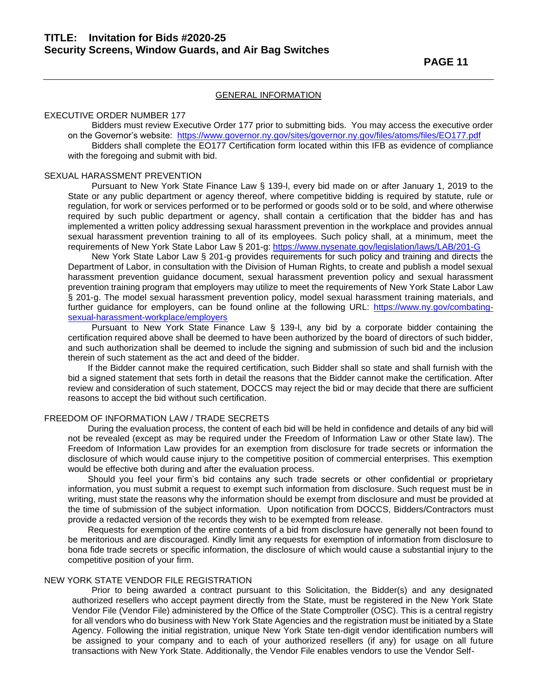### EXECUTIVE ORDER NUMBER 177

Bidders must review Executive Order 177 prior to submitting bids. You may access the executive order on the Governor's website: https://www.governor.ny.gov/sites/governor.ny.gov/files/atoms/files/EO177.pdf Bidders shall complete the EO177 Certification form located within this IFB as evidence of compliance with the foregoing and submit with bid.

#### SEXUAL HARASSMENT PREVENTION

Pursuant to New York State Finance Law § 139-l, every bid made on or after January 1, 2019 to the State or any public department or agency thereof, where competitive bidding is required by statute, rule or regulation, for work or services performed or to be performed or goods sold or to be sold, and where otherwise required by such public department or agency, shall contain a certification that the bidder has and has implemented a written policy addressing sexual harassment prevention in the workplace and provides annual sexual harassment prevention training to all of its employees. Such policy shall, at a minimum, meet the requirements of New York State Labor Law § 201-g:<https://www.nysenate.gov/legislation/laws/LAB/201-G>

New York State Labor Law § 201-g provides requirements for such policy and training and directs the Department of Labor, in consultation with the Division of Human Rights, to create and publish a model sexual harassment prevention guidance document, sexual harassment prevention policy and sexual harassment prevention training program that employers may utilize to meet the requirements of New York State Labor Law § 201-g. The model sexual harassment prevention policy, model sexual harassment training materials, and further guidance for employers, can be found online at the following URL: [https://www.ny.gov/combating](https://www.ny.gov/combating-sexual-harassment-workplace/employers)[sexual-harassment-workplace/employers](https://www.ny.gov/combating-sexual-harassment-workplace/employers)

Pursuant to New York State Finance Law § 139-l, any bid by a corporate bidder containing the certification required above shall be deemed to have been authorized by the board of directors of such bidder, and such authorization shall be deemed to include the signing and submission of such bid and the inclusion therein of such statement as the act and deed of the bidder.

If the Bidder cannot make the required certification, such Bidder shall so state and shall furnish with the bid a signed statement that sets forth in detail the reasons that the Bidder cannot make the certification. After review and consideration of such statement, DOCCS may reject the bid or may decide that there are sufficient reasons to accept the bid without such certification.

#### FREEDOM OF INFORMATION LAW / TRADE SECRETS

During the evaluation process, the content of each bid will be held in confidence and details of any bid will not be revealed (except as may be required under the Freedom of Information Law or other State law). The Freedom of Information Law provides for an exemption from disclosure for trade secrets or information the disclosure of which would cause injury to the competitive position of commercial enterprises. This exemption would be effective both during and after the evaluation process.

Should you feel your firm's bid contains any such trade secrets or other confidential or proprietary information, you must submit a request to exempt such information from disclosure. Such request must be in writing, must state the reasons why the information should be exempt from disclosure and must be provided at the time of submission of the subject information. Upon notification from DOCCS, Bidders/Contractors must provide a redacted version of the records they wish to be exempted from release.

Requests for exemption of the entire contents of a bid from disclosure have generally not been found to be meritorious and are discouraged. Kindly limit any requests for exemption of information from disclosure to bona fide trade secrets or specific information, the disclosure of which would cause a substantial injury to the competitive position of your firm.

#### NEW YORK STATE VENDOR FILE REGISTRATION

Prior to being awarded a contract pursuant to this Solicitation, the Bidder(s) and any designated authorized resellers who accept payment directly from the State, must be registered in the New York State Vendor File (Vendor File) administered by the Office of the State Comptroller (OSC). This is a central registry for all vendors who do business with New York State Agencies and the registration must be initiated by a State Agency. Following the initial registration, unique New York State ten-digit vendor identification numbers will be assigned to your company and to each of your authorized resellers (if any) for usage on all future transactions with New York State. Additionally, the Vendor File enables vendors to use the Vendor Self-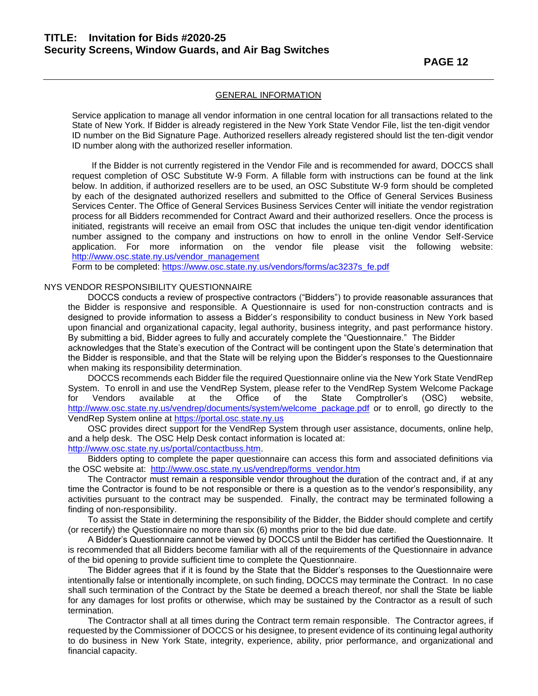**PAGE 12** 

#### GENERAL INFORMATION

Service application to manage all vendor information in one central location for all transactions related to the State of New York. If Bidder is already registered in the New York State Vendor File, list the ten-digit vendor ID number on the Bid Signature Page. Authorized resellers already registered should list the ten-digit vendor ID number along with the authorized reseller information.

If the Bidder is not currently registered in the Vendor File and is recommended for award, DOCCS shall request completion of OSC Substitute W-9 Form. A fillable form with instructions can be found at the link below. In addition, if authorized resellers are to be used, an OSC Substitute W-9 form should be completed by each of the designated authorized resellers and submitted to the Office of General Services Business Services Center. The Office of General Services Business Services Center will initiate the vendor registration process for all Bidders recommended for Contract Award and their authorized resellers. Once the process is initiated, registrants will receive an email from OSC that includes the unique ten-digit vendor identification number assigned to the company and instructions on how to enroll in the online Vendor Self-Service application. For more information on the vendor file please visit the following website: [http://www.osc.state.ny.us/vendor\\_management](http://www.osc.state.ny.us/vendor_management)

Form to be completed: [https://www.osc.state.ny.us/vendors/forms/ac3237s\\_fe.pdf](https://www.osc.state.ny.us/vendors/forms/ac3237s_fe.pdf)

#### NYS VENDOR RESPONSIBILITY QUESTIONNAIRE

DOCCS conducts a review of prospective contractors ("Bidders") to provide reasonable assurances that the Bidder is responsive and responsible. A Questionnaire is used for non-construction contracts and is designed to provide information to assess a Bidder's responsibility to conduct business in New York based upon financial and organizational capacity, legal authority, business integrity, and past performance history. By submitting a bid, Bidder agrees to fully and accurately complete the "Questionnaire." The Bidder acknowledges that the State's execution of the Contract will be contingent upon the State's determination that

the Bidder is responsible, and that the State will be relying upon the Bidder's responses to the Questionnaire when making its responsibility determination.

DOCCS recommends each Bidder file the required Questionnaire online via the New York State VendRep System. To enroll in and use the VendRep System, please refer to the VendRep System Welcome Package for Vendors available at the Office of the State Comptroller's (OSC) website, [http://www.osc.state.ny.us/vendrep/documents/system/welcome\\_package.pdf](http://www.osc.state.ny.us/vendrep/documents/system/welcome_package.pdf) or to enroll, go directly to the VendRep System online at [https://portal.osc.state.ny.us](https://portal.osc.state.ny.us/)

OSC provides direct support for the VendRep System through user assistance, documents, online help, and a help desk. The OSC Help Desk contact information is located at:

[http://www.osc.state.ny.us/portal/contactbuss.htm.](http://www.osc.state.ny.us/portal/contactbuss.htm)

Bidders opting to complete the paper questionnaire can access this form and associated definitions via the OSC website at: [http://www.osc.state.ny.us/vendrep/forms\\_vendor.htm](http://www.osc.state.ny.us/vendrep/forms_vendor.htm)

The Contractor must remain a responsible vendor throughout the duration of the contract and, if at any time the Contractor is found to be not responsible or there is a question as to the vendor's responsibility, any activities pursuant to the contract may be suspended. Finally, the contract may be terminated following a finding of non-responsibility.

To assist the State in determining the responsibility of the Bidder, the Bidder should complete and certify (or recertify) the Questionnaire no more than six (6) months prior to the bid due date.

A Bidder's Questionnaire cannot be viewed by DOCCS until the Bidder has certified the Questionnaire. It is recommended that all Bidders become familiar with all of the requirements of the Questionnaire in advance of the bid opening to provide sufficient time to complete the Questionnaire.

The Bidder agrees that if it is found by the State that the Bidder's responses to the Questionnaire were intentionally false or intentionally incomplete, on such finding, DOCCS may terminate the Contract. In no case shall such termination of the Contract by the State be deemed a breach thereof, nor shall the State be liable for any damages for lost profits or otherwise, which may be sustained by the Contractor as a result of such termination.

The Contractor shall at all times during the Contract term remain responsible. The Contractor agrees, if requested by the Commissioner of DOCCS or his designee, to present evidence of its continuing legal authority to do business in New York State, integrity, experience, ability, prior performance, and organizational and financial capacity.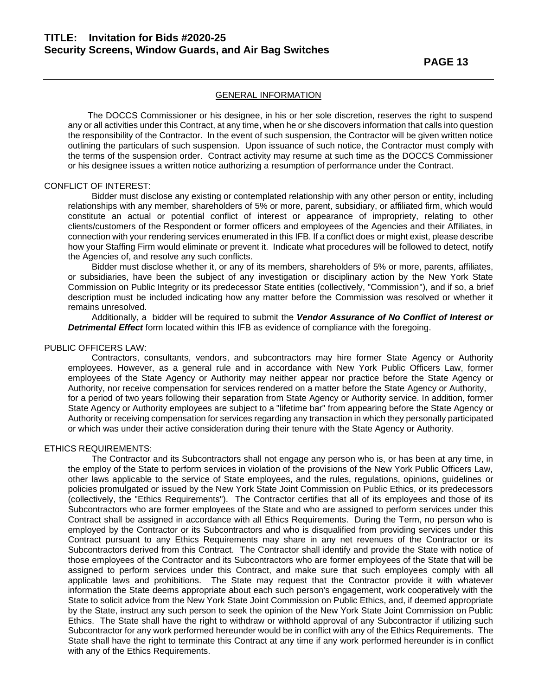The DOCCS Commissioner or his designee, in his or her sole discretion, reserves the right to suspend any or all activities under this Contract, at any time, when he or she discovers information that calls into question the responsibility of the Contractor. In the event of such suspension, the Contractor will be given written notice outlining the particulars of such suspension. Upon issuance of such notice, the Contractor must comply with the terms of the suspension order. Contract activity may resume at such time as the DOCCS Commissioner or his designee issues a written notice authorizing a resumption of performance under the Contract.

#### CONFLICT OF INTEREST:

Bidder must disclose any existing or contemplated relationship with any other person or entity, including relationships with any member, shareholders of 5% or more, parent, subsidiary, or affiliated firm, which would constitute an actual or potential conflict of interest or appearance of impropriety, relating to other clients/customers of the Respondent or former officers and employees of the Agencies and their Affiliates, in connection with your rendering services enumerated in this IFB. If a conflict does or might exist, please describe how your Staffing Firm would eliminate or prevent it. Indicate what procedures will be followed to detect, notify the Agencies of, and resolve any such conflicts.

Bidder must disclose whether it, or any of its members, shareholders of 5% or more, parents, affiliates, or subsidiaries, have been the subject of any investigation or disciplinary action by the New York State Commission on Public Integrity or its predecessor State entities (collectively, "Commission"), and if so, a brief description must be included indicating how any matter before the Commission was resolved or whether it remains unresolved.

Additionally, a bidder will be required to submit the *Vendor Assurance of No Conflict of Interest or Detrimental Effect* form located within this IFB as evidence of compliance with the foregoing.

#### PUBLIC OFFICERS LAW:

Contractors, consultants, vendors, and subcontractors may hire former State Agency or Authority employees. However, as a general rule and in accordance with New York Public Officers Law, former employees of the State Agency or Authority may neither appear nor practice before the State Agency or Authority, nor receive compensation for services rendered on a matter before the State Agency or Authority, for a period of two years following their separation from State Agency or Authority service. In addition, former State Agency or Authority employees are subject to a "lifetime bar" from appearing before the State Agency or Authority or receiving compensation for services regarding any transaction in which they personally participated or which was under their active consideration during their tenure with the State Agency or Authority.

### ETHICS REQUIREMENTS:

The Contractor and its Subcontractors shall not engage any person who is, or has been at any time, in the employ of the State to perform services in violation of the provisions of the New York Public Officers Law, other laws applicable to the service of State employees, and the rules, regulations, opinions, guidelines or policies promulgated or issued by the New York State Joint Commission on Public Ethics, or its predecessors (collectively, the "Ethics Requirements"). The Contractor certifies that all of its employees and those of its Subcontractors who are former employees of the State and who are assigned to perform services under this Contract shall be assigned in accordance with all Ethics Requirements. During the Term, no person who is employed by the Contractor or its Subcontractors and who is disqualified from providing services under this Contract pursuant to any Ethics Requirements may share in any net revenues of the Contractor or its Subcontractors derived from this Contract. The Contractor shall identify and provide the State with notice of those employees of the Contractor and its Subcontractors who are former employees of the State that will be assigned to perform services under this Contract, and make sure that such employees comply with all applicable laws and prohibitions. The State may request that the Contractor provide it with whatever information the State deems appropriate about each such person's engagement, work cooperatively with the State to solicit advice from the New York State Joint Commission on Public Ethics, and, if deemed appropriate by the State, instruct any such person to seek the opinion of the New York State Joint Commission on Public Ethics. The State shall have the right to withdraw or withhold approval of any Subcontractor if utilizing such Subcontractor for any work performed hereunder would be in conflict with any of the Ethics Requirements. The State shall have the right to terminate this Contract at any time if any work performed hereunder is in conflict with any of the Ethics Requirements.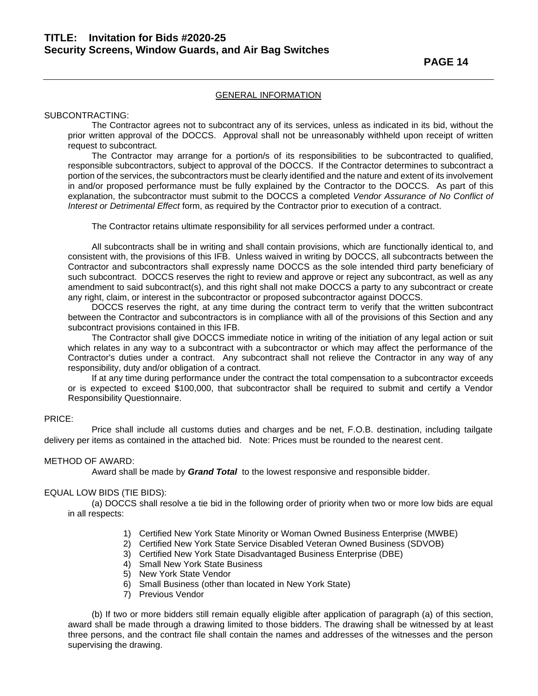#### SUBCONTRACTING:

The Contractor agrees not to subcontract any of its services, unless as indicated in its bid, without the prior written approval of the DOCCS. Approval shall not be unreasonably withheld upon receipt of written request to subcontract.

The Contractor may arrange for a portion/s of its responsibilities to be subcontracted to qualified, responsible subcontractors, subject to approval of the DOCCS. If the Contractor determines to subcontract a portion of the services, the subcontractors must be clearly identified and the nature and extent of its involvement in and/or proposed performance must be fully explained by the Contractor to the DOCCS. As part of this explanation, the subcontractor must submit to the DOCCS a completed *Vendor Assurance of No Conflict of Interest or Detrimental Effect* form, as required by the Contractor prior to execution of a contract.

The Contractor retains ultimate responsibility for all services performed under a contract.

All subcontracts shall be in writing and shall contain provisions, which are functionally identical to, and consistent with, the provisions of this IFB. Unless waived in writing by DOCCS, all subcontracts between the Contractor and subcontractors shall expressly name DOCCS as the sole intended third party beneficiary of such subcontract. DOCCS reserves the right to review and approve or reject any subcontract, as well as any amendment to said subcontract(s), and this right shall not make DOCCS a party to any subcontract or create any right, claim, or interest in the subcontractor or proposed subcontractor against DOCCS.

DOCCS reserves the right, at any time during the contract term to verify that the written subcontract between the Contractor and subcontractors is in compliance with all of the provisions of this Section and any subcontract provisions contained in this IFB.

The Contractor shall give DOCCS immediate notice in writing of the initiation of any legal action or suit which relates in any way to a subcontract with a subcontractor or which may affect the performance of the Contractor's duties under a contract. Any subcontract shall not relieve the Contractor in any way of any responsibility, duty and/or obligation of a contract.

If at any time during performance under the contract the total compensation to a subcontractor exceeds or is expected to exceed \$100,000, that subcontractor shall be required to submit and certify a Vendor Responsibility Questionnaire.

### PRICE:

Price shall include all customs duties and charges and be net, F.O.B. destination, including tailgate delivery per items as contained in the attached bid. Note: Prices must be rounded to the nearest cent.

#### METHOD OF AWARD:

Award shall be made by *Grand Total* to the lowest responsive and responsible bidder.

### EQUAL LOW BIDS (TIE BIDS):

(a) DOCCS shall resolve a tie bid in the following order of priority when two or more low bids are equal in all respects:

- 1) Certified New York State Minority or Woman Owned Business Enterprise (MWBE)
- 2) Certified New York State Service Disabled Veteran Owned Business (SDVOB)
- 3) Certified New York State Disadvantaged Business Enterprise (DBE)
- 4) Small New York State Business
- 5) New York State Vendor
- 6) Small Business (other than located in New York State)
- 7) Previous Vendor

(b) If two or more bidders still remain equally eligible after application of paragraph (a) of this section, award shall be made through a drawing limited to those bidders. The drawing shall be witnessed by at least three persons, and the contract file shall contain the names and addresses of the witnesses and the person supervising the drawing.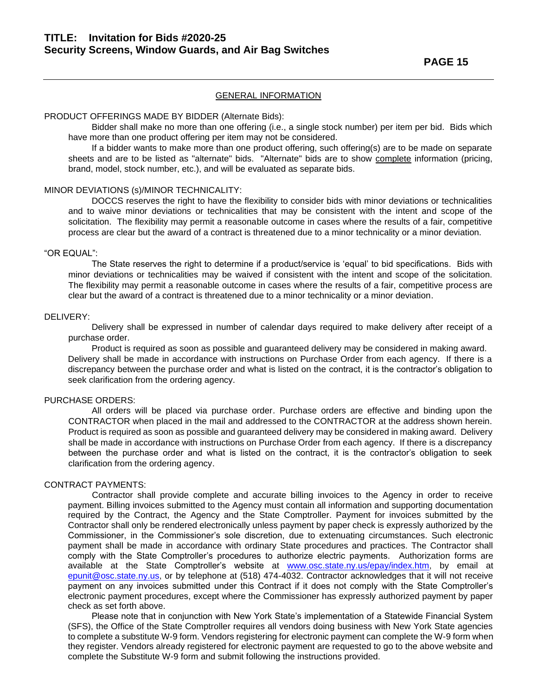#### PRODUCT OFFERINGS MADE BY BIDDER (Alternate Bids):

Bidder shall make no more than one offering (i.e., a single stock number) per item per bid. Bids which have more than one product offering per item may not be considered.

If a bidder wants to make more than one product offering, such offering(s) are to be made on separate sheets and are to be listed as "alternate" bids. "Alternate" bids are to show complete information (pricing, brand, model, stock number, etc.), and will be evaluated as separate bids.

#### MINOR DEVIATIONS (s)/MINOR TECHNICALITY:

DOCCS reserves the right to have the flexibility to consider bids with minor deviations or technicalities and to waive minor deviations or technicalities that may be consistent with the intent and scope of the solicitation. The flexibility may permit a reasonable outcome in cases where the results of a fair, competitive process are clear but the award of a contract is threatened due to a minor technicality or a minor deviation.

#### "OR EQUAL":

The State reserves the right to determine if a product/service is 'equal' to bid specifications. Bids with minor deviations or technicalities may be waived if consistent with the intent and scope of the solicitation. The flexibility may permit a reasonable outcome in cases where the results of a fair, competitive process are clear but the award of a contract is threatened due to a minor technicality or a minor deviation.

#### DELIVERY:

Delivery shall be expressed in number of calendar days required to make delivery after receipt of a purchase order.

Product is required as soon as possible and guaranteed delivery may be considered in making award. Delivery shall be made in accordance with instructions on Purchase Order from each agency. If there is a discrepancy between the purchase order and what is listed on the contract, it is the contractor's obligation to seek clarification from the ordering agency.

#### PURCHASE ORDERS:

All orders will be placed via purchase order. Purchase orders are effective and binding upon the CONTRACTOR when placed in the mail and addressed to the CONTRACTOR at the address shown herein. Product is required as soon as possible and guaranteed delivery may be considered in making award. Delivery shall be made in accordance with instructions on Purchase Order from each agency. If there is a discrepancy between the purchase order and what is listed on the contract, it is the contractor's obligation to seek clarification from the ordering agency.

#### CONTRACT PAYMENTS:

Contractor shall provide complete and accurate billing invoices to the Agency in order to receive payment. Billing invoices submitted to the Agency must contain all information and supporting documentation required by the Contract, the Agency and the State Comptroller. Payment for invoices submitted by the Contractor shall only be rendered electronically unless payment by paper check is expressly authorized by the Commissioner, in the Commissioner's sole discretion, due to extenuating circumstances. Such electronic payment shall be made in accordance with ordinary State procedures and practices. The Contractor shall comply with the State Comptroller's procedures to authorize electric payments. Authorization forms are available at the State Comptroller's website at [www.osc.state.ny.us/epay/index.htm,](http://www.osc.state.ny.us/epay/index.htm) by email at [epunit@osc.state.ny.us,](mailto:epunit@osc.state.ny.us) or by telephone at (518) 474-4032. Contractor acknowledges that it will not receive payment on any invoices submitted under this Contract if it does not comply with the State Comptroller's electronic payment procedures, except where the Commissioner has expressly authorized payment by paper check as set forth above.

Please note that in conjunction with New York State's implementation of a Statewide Financial System (SFS), the Office of the State Comptroller requires all vendors doing business with New York State agencies to complete a substitute W-9 form. Vendors registering for electronic payment can complete the W-9 form when they register. Vendors already registered for electronic payment are requested to go to the above website and complete the Substitute W-9 form and submit following the instructions provided.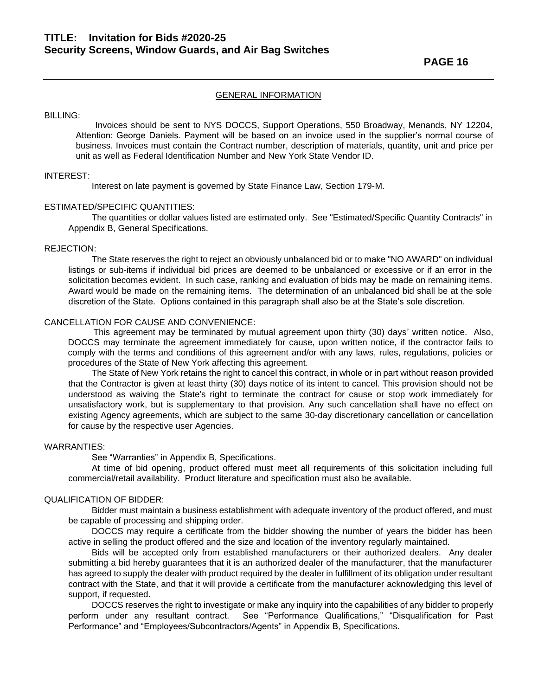**PAGE 16** 

#### GENERAL INFORMATION

#### BILLING:

 Invoices should be sent to NYS DOCCS, Support Operations, 550 Broadway, Menands, NY 12204, Attention: George Daniels. Payment will be based on an invoice used in the supplier's normal course of business. Invoices must contain the Contract number, description of materials, quantity, unit and price per unit as well as Federal Identification Number and New York State Vendor ID.

#### INTEREST:

Interest on late payment is governed by State Finance Law, Section 179-M.

#### ESTIMATED/SPECIFIC QUANTITIES:

The quantities or dollar values listed are estimated only. See "Estimated/Specific Quantity Contracts" in Appendix B, General Specifications.

#### REJECTION:

The State reserves the right to reject an obviously unbalanced bid or to make "NO AWARD" on individual listings or sub-items if individual bid prices are deemed to be unbalanced or excessive or if an error in the solicitation becomes evident. In such case, ranking and evaluation of bids may be made on remaining items. Award would be made on the remaining items. The determination of an unbalanced bid shall be at the sole discretion of the State. Options contained in this paragraph shall also be at the State's sole discretion.

#### CANCELLATION FOR CAUSE AND CONVENIENCE:

 This agreement may be terminated by mutual agreement upon thirty (30) days' written notice. Also, DOCCS may terminate the agreement immediately for cause, upon written notice, if the contractor fails to comply with the terms and conditions of this agreement and/or with any laws, rules, regulations, policies or procedures of the State of New York affecting this agreement.

The State of New York retains the right to cancel this contract, in whole or in part without reason provided that the Contractor is given at least thirty (30) days notice of its intent to cancel. This provision should not be understood as waiving the State's right to terminate the contract for cause or stop work immediately for unsatisfactory work, but is supplementary to that provision. Any such cancellation shall have no effect on existing Agency agreements, which are subject to the same 30-day discretionary cancellation or cancellation for cause by the respective user Agencies.

#### WARRANTIES:

See "Warranties" in Appendix B, Specifications.

At time of bid opening, product offered must meet all requirements of this solicitation including full commercial/retail availability. Product literature and specification must also be available.

#### QUALIFICATION OF BIDDER:

Bidder must maintain a business establishment with adequate inventory of the product offered, and must be capable of processing and shipping order.

DOCCS may require a certificate from the bidder showing the number of years the bidder has been active in selling the product offered and the size and location of the inventory regularly maintained.

Bids will be accepted only from established manufacturers or their authorized dealers. Any dealer submitting a bid hereby guarantees that it is an authorized dealer of the manufacturer, that the manufacturer has agreed to supply the dealer with product required by the dealer in fulfillment of its obligation under resultant contract with the State, and that it will provide a certificate from the manufacturer acknowledging this level of support, if requested.

DOCCS reserves the right to investigate or make any inquiry into the capabilities of any bidder to properly perform under any resultant contract. See "Performance Qualifications," "Disqualification for Past Performance" and "Employees/Subcontractors/Agents" in Appendix B, Specifications.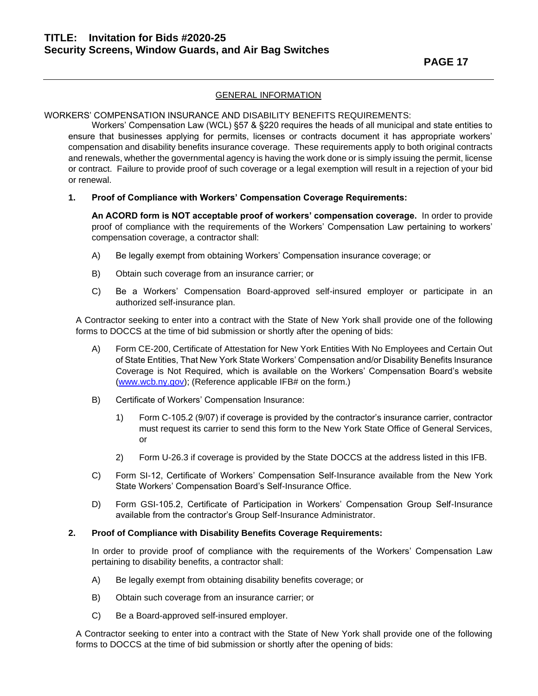### WORKERS' COMPENSATION INSURANCE AND DISABILITY BENEFITS REQUIREMENTS:

Workers' Compensation Law (WCL) §57 & §220 requires the heads of all municipal and state entities to ensure that businesses applying for permits, licenses or contracts document it has appropriate workers' compensation and disability benefits insurance coverage. These requirements apply to both original contracts and renewals, whether the governmental agency is having the work done or is simply issuing the permit, license or contract. Failure to provide proof of such coverage or a legal exemption will result in a rejection of your bid or renewal.

# **1. Proof of Compliance with Workers' Compensation Coverage Requirements:**

**An ACORD form is NOT acceptable proof of workers' compensation coverage.** In order to provide proof of compliance with the requirements of the Workers' Compensation Law pertaining to workers' compensation coverage, a contractor shall:

- A) Be legally exempt from obtaining Workers' Compensation insurance coverage; or
- B) Obtain such coverage from an insurance carrier; or
- C) Be a Workers' Compensation Board-approved self-insured employer or participate in an authorized self-insurance plan.

A Contractor seeking to enter into a contract with the State of New York shall provide one of the following forms to DOCCS at the time of bid submission or shortly after the opening of bids:

- A) Form CE-200, Certificate of Attestation for New York Entities With No Employees and Certain Out of State Entities, That New York State Workers' Compensation and/or Disability Benefits Insurance Coverage is Not Required, which is available on the Workers' Compensation Board's website [\(www.wcb.ny.gov\)](http://www.wcb.ny.gov/); (Reference applicable IFB# on the form.)
- B) Certificate of Workers' Compensation Insurance:
	- 1) Form C-105.2 (9/07) if coverage is provided by the contractor's insurance carrier, contractor must request its carrier to send this form to the New York State Office of General Services, or
	- 2) Form U-26.3 if coverage is provided by the State DOCCS at the address listed in this IFB.
- C) Form SI-12, Certificate of Workers' Compensation Self-Insurance available from the New York State Workers' Compensation Board's Self-Insurance Office.
- D) Form GSI-105.2, Certificate of Participation in Workers' Compensation Group Self-Insurance available from the contractor's Group Self-Insurance Administrator.

### **2. Proof of Compliance with Disability Benefits Coverage Requirements:**

In order to provide proof of compliance with the requirements of the Workers' Compensation Law pertaining to disability benefits, a contractor shall:

- A) Be legally exempt from obtaining disability benefits coverage; or
- B) Obtain such coverage from an insurance carrier; or
- C) Be a Board-approved self-insured employer.

A Contractor seeking to enter into a contract with the State of New York shall provide one of the following forms to DOCCS at the time of bid submission or shortly after the opening of bids: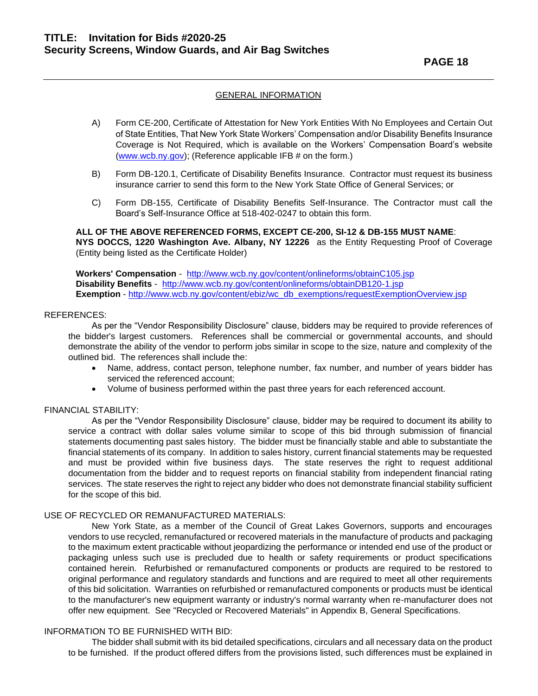- A) Form CE-200, Certificate of Attestation for New York Entities With No Employees and Certain Out of State Entities, That New York State Workers' Compensation and/or Disability Benefits Insurance Coverage is Not Required, which is available on the Workers' Compensation Board's website [\(www.wcb.ny.gov\)](http://www.wcb.ny.gov/); (Reference applicable IFB # on the form.)
- B) Form DB-120.1, Certificate of Disability Benefits Insurance. Contractor must request its business insurance carrier to send this form to the New York State Office of General Services; or
- C) Form DB-155, Certificate of Disability Benefits Self-Insurance. The Contractor must call the Board's Self-Insurance Office at 518-402-0247 to obtain this form.

**ALL OF THE ABOVE REFERENCED FORMS, EXCEPT CE-200, SI-12 & DB-155 MUST NAME**: **NYS DOCCS, 1220 Washington Ave. Albany, NY 12226** as the Entity Requesting Proof of Coverage (Entity being listed as the Certificate Holder)

**Workers' Compensation** - <http://www.wcb.ny.gov/content/onlineforms/obtainC105.jsp> **Disability Benefits** - <http://www.wcb.ny.gov/content/onlineforms/obtainDB120-1.jsp> **Exemption** - [http://www.wcb.ny.gov/content/ebiz/wc\\_db\\_exemptions/requestExemptionOverview.jsp](http://www.wcb.ny.gov/content/ebiz/wc_db_exemptions/requestExemptionOverview.jsp)

#### REFERENCES:

As per the "Vendor Responsibility Disclosure" clause, bidders may be required to provide references of the bidder's largest customers. References shall be commercial or governmental accounts, and should demonstrate the ability of the vendor to perform jobs similar in scope to the size, nature and complexity of the outlined bid. The references shall include the:

- Name, address, contact person, telephone number, fax number, and number of years bidder has serviced the referenced account;
- Volume of business performed within the past three years for each referenced account.

### FINANCIAL STABILITY:

As per the "Vendor Responsibility Disclosure" clause, bidder may be required to document its ability to service a contract with dollar sales volume similar to scope of this bid through submission of financial statements documenting past sales history. The bidder must be financially stable and able to substantiate the financial statements of its company. In addition to sales history, current financial statements may be requested and must be provided within five business days. The state reserves the right to request additional documentation from the bidder and to request reports on financial stability from independent financial rating services. The state reserves the right to reject any bidder who does not demonstrate financial stability sufficient for the scope of this bid.

### USE OF RECYCLED OR REMANUFACTURED MATERIALS:

New York State, as a member of the Council of Great Lakes Governors, supports and encourages vendors to use recycled, remanufactured or recovered materials in the manufacture of products and packaging to the maximum extent practicable without jeopardizing the performance or intended end use of the product or packaging unless such use is precluded due to health or safety requirements or product specifications contained herein. Refurbished or remanufactured components or products are required to be restored to original performance and regulatory standards and functions and are required to meet all other requirements of this bid solicitation. Warranties on refurbished or remanufactured components or products must be identical to the manufacturer's new equipment warranty or industry's normal warranty when re-manufacturer does not offer new equipment. See "Recycled or Recovered Materials" in Appendix B, General Specifications.

### INFORMATION TO BE FURNISHED WITH BID:

The bidder shall submit with its bid detailed specifications, circulars and all necessary data on the product to be furnished. If the product offered differs from the provisions listed, such differences must be explained in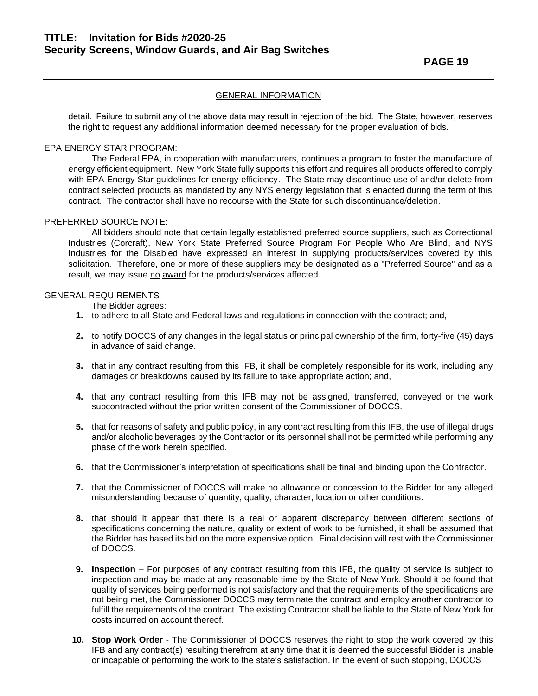detail. Failure to submit any of the above data may result in rejection of the bid. The State, however, reserves the right to request any additional information deemed necessary for the proper evaluation of bids.

#### EPA ENERGY STAR PROGRAM:

The Federal EPA, in cooperation with manufacturers, continues a program to foster the manufacture of energy efficient equipment. New York State fully supports this effort and requires all products offered to comply with EPA Energy Star guidelines for energy efficiency. The State may discontinue use of and/or delete from contract selected products as mandated by any NYS energy legislation that is enacted during the term of this contract. The contractor shall have no recourse with the State for such discontinuance/deletion.

#### PREFERRED SOURCE NOTE:

All bidders should note that certain legally established preferred source suppliers, such as Correctional Industries (Corcraft), New York State Preferred Source Program For People Who Are Blind, and NYS Industries for the Disabled have expressed an interest in supplying products/services covered by this solicitation. Therefore, one or more of these suppliers may be designated as a "Preferred Source" and as a result, we may issue no award for the products/services affected.

### GENERAL REQUIREMENTS

The Bidder agrees:

- **1.** to adhere to all State and Federal laws and regulations in connection with the contract; and,
- **2.** to notify DOCCS of any changes in the legal status or principal ownership of the firm, forty-five (45) days in advance of said change.
- **3.** that in any contract resulting from this IFB, it shall be completely responsible for its work, including any damages or breakdowns caused by its failure to take appropriate action; and,
- **4.** that any contract resulting from this IFB may not be assigned, transferred, conveyed or the work subcontracted without the prior written consent of the Commissioner of DOCCS.
- **5.** that for reasons of safety and public policy, in any contract resulting from this IFB, the use of illegal drugs and/or alcoholic beverages by the Contractor or its personnel shall not be permitted while performing any phase of the work herein specified.
- **6.** that the Commissioner's interpretation of specifications shall be final and binding upon the Contractor.
- **7.** that the Commissioner of DOCCS will make no allowance or concession to the Bidder for any alleged misunderstanding because of quantity, quality, character, location or other conditions.
- **8.** that should it appear that there is a real or apparent discrepancy between different sections of specifications concerning the nature, quality or extent of work to be furnished, it shall be assumed that the Bidder has based its bid on the more expensive option. Final decision will rest with the Commissioner of DOCCS.
- **9. Inspection** For purposes of any contract resulting from this IFB, the quality of service is subject to inspection and may be made at any reasonable time by the State of New York. Should it be found that quality of services being performed is not satisfactory and that the requirements of the specifications are not being met, the Commissioner DOCCS may terminate the contract and employ another contractor to fulfill the requirements of the contract. The existing Contractor shall be liable to the State of New York for costs incurred on account thereof.
- **10. Stop Work Order** The Commissioner of DOCCS reserves the right to stop the work covered by this IFB and any contract(s) resulting therefrom at any time that it is deemed the successful Bidder is unable or incapable of performing the work to the state's satisfaction. In the event of such stopping, DOCCS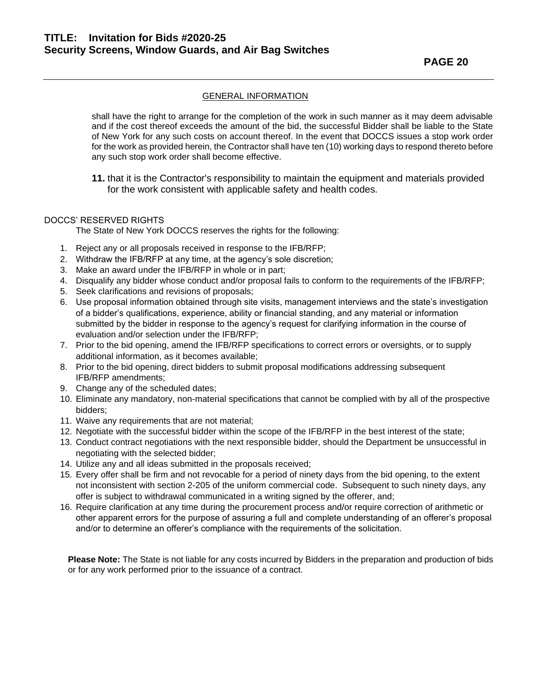shall have the right to arrange for the completion of the work in such manner as it may deem advisable and if the cost thereof exceeds the amount of the bid, the successful Bidder shall be liable to the State of New York for any such costs on account thereof. In the event that DOCCS issues a stop work order for the work as provided herein, the Contractor shall have ten (10) working days to respond thereto before any such stop work order shall become effective.

**11.** that it is the Contractor's responsibility to maintain the equipment and materials provided for the work consistent with applicable safety and health codes.

# DOCCS' RESERVED RIGHTS

The State of New York DOCCS reserves the rights for the following:

- 1. Reject any or all proposals received in response to the IFB/RFP;
- 2. Withdraw the IFB/RFP at any time, at the agency's sole discretion;
- 3. Make an award under the IFB/RFP in whole or in part;
- 4. Disqualify any bidder whose conduct and/or proposal fails to conform to the requirements of the IFB/RFP;
- 5. Seek clarifications and revisions of proposals;
- 6. Use proposal information obtained through site visits, management interviews and the state's investigation of a bidder's qualifications, experience, ability or financial standing, and any material or information submitted by the bidder in response to the agency's request for clarifying information in the course of evaluation and/or selection under the IFB/RFP;
- 7. Prior to the bid opening, amend the IFB/RFP specifications to correct errors or oversights, or to supply additional information, as it becomes available;
- 8. Prior to the bid opening, direct bidders to submit proposal modifications addressing subsequent IFB/RFP amendments;
- 9. Change any of the scheduled dates;
- 10. Eliminate any mandatory, non-material specifications that cannot be complied with by all of the prospective bidders;
- 11. Waive any requirements that are not material;
- 12. Negotiate with the successful bidder within the scope of the IFB/RFP in the best interest of the state;
- 13. Conduct contract negotiations with the next responsible bidder, should the Department be unsuccessful in negotiating with the selected bidder;
- 14. Utilize any and all ideas submitted in the proposals received;
- 15. Every offer shall be firm and not revocable for a period of ninety days from the bid opening, to the extent not inconsistent with section 2-205 of the uniform commercial code. Subsequent to such ninety days, any offer is subject to withdrawal communicated in a writing signed by the offerer, and;
- 16. Require clarification at any time during the procurement process and/or require correction of arithmetic or other apparent errors for the purpose of assuring a full and complete understanding of an offerer's proposal and/or to determine an offerer's compliance with the requirements of the solicitation.

**Please Note:** The State is not liable for any costs incurred by Bidders in the preparation and production of bids or for any work performed prior to the issuance of a contract.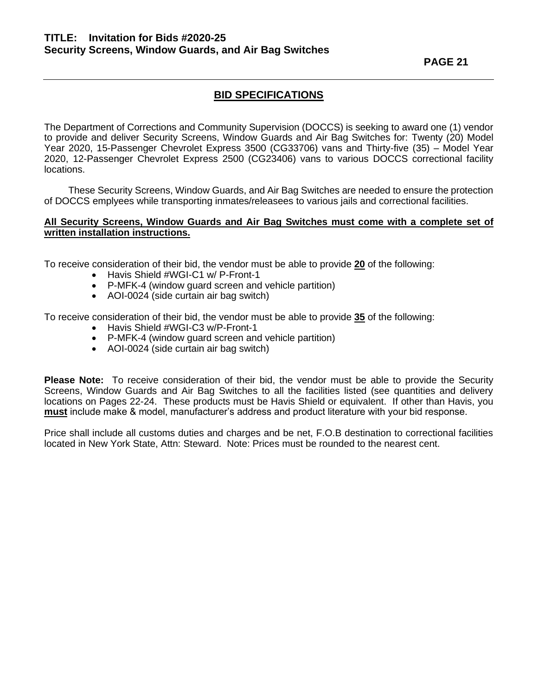# **BID SPECIFICATIONS**

The Department of Corrections and Community Supervision (DOCCS) is seeking to award one (1) vendor to provide and deliver Security Screens, Window Guards and Air Bag Switches for: Twenty (20) Model Year 2020, 15-Passenger Chevrolet Express 3500 (CG33706) vans and Thirty-five (35) – Model Year 2020, 12-Passenger Chevrolet Express 2500 (CG23406) vans to various DOCCS correctional facility locations.

These Security Screens, Window Guards, and Air Bag Switches are needed to ensure the protection of DOCCS emplyees while transporting inmates/releasees to various jails and correctional facilities.

### **All Security Screens, Window Guards and Air Bag Switches must come with a complete set of written installation instructions.**

To receive consideration of their bid, the vendor must be able to provide **20** of the following:

- Havis Shield #WGI-C1 w/ P-Front-1
- P-MFK-4 (window guard screen and vehicle partition)
- AOI-0024 (side curtain air bag switch)

To receive consideration of their bid, the vendor must be able to provide **35** of the following:

- Havis Shield #WGI-C3 w/P-Front-1
- P-MFK-4 (window guard screen and vehicle partition)
- AOI-0024 (side curtain air bag switch)

**Please Note:** To receive consideration of their bid, the vendor must be able to provide the Security Screens, Window Guards and Air Bag Switches to all the facilities listed (see quantities and delivery locations on Pages 22-24. These products must be Havis Shield or equivalent. If other than Havis, you **must** include make & model, manufacturer's address and product literature with your bid response.

Price shall include all customs duties and charges and be net, F.O.B destination to correctional facilities located in New York State, Attn: Steward. Note: Prices must be rounded to the nearest cent.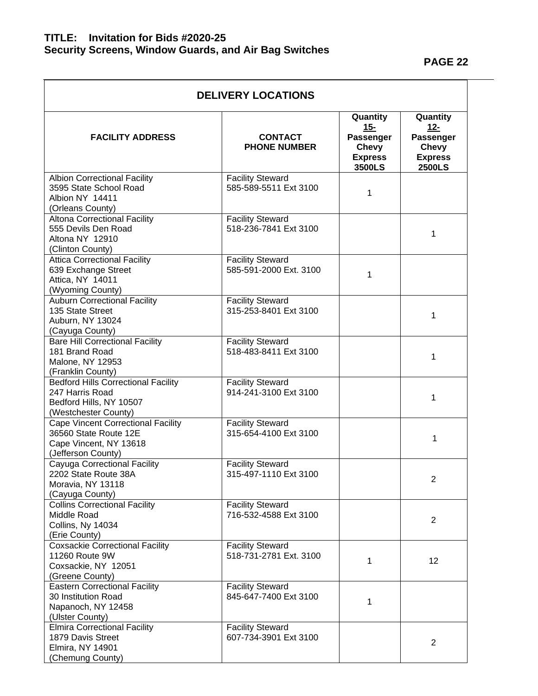**PAGE 22** 

 $\overline{\phantom{0}}$ 

|                                                                                                                    | <b>DELIVERY LOCATIONS</b>                         |                                                                             |                                                                             |
|--------------------------------------------------------------------------------------------------------------------|---------------------------------------------------|-----------------------------------------------------------------------------|-----------------------------------------------------------------------------|
| <b>FACILITY ADDRESS</b>                                                                                            | <b>CONTACT</b><br><b>PHONE NUMBER</b>             | Quantity<br>$15 -$<br>Passenger<br><b>Chevy</b><br><b>Express</b><br>3500LS | Quantity<br>$12 -$<br>Passenger<br><b>Chevy</b><br><b>Express</b><br>2500LS |
| <b>Albion Correctional Facility</b><br>3595 State School Road<br>Albion NY 14411<br>(Orleans County)               | <b>Facility Steward</b><br>585-589-5511 Ext 3100  | 1                                                                           |                                                                             |
| <b>Altona Correctional Facility</b><br>555 Devils Den Road<br>Altona NY 12910<br>(Clinton County)                  | <b>Facility Steward</b><br>518-236-7841 Ext 3100  |                                                                             | 1                                                                           |
| <b>Attica Correctional Facility</b><br>639 Exchange Street<br>Attica, NY 14011<br>(Wyoming County)                 | <b>Facility Steward</b><br>585-591-2000 Ext. 3100 | 1                                                                           |                                                                             |
| <b>Auburn Correctional Facility</b><br>135 State Street<br>Auburn, NY 13024<br>(Cayuga County)                     | <b>Facility Steward</b><br>315-253-8401 Ext 3100  |                                                                             | 1                                                                           |
| <b>Bare Hill Correctional Facility</b><br>181 Brand Road<br>Malone, NY 12953<br>(Franklin County)                  | <b>Facility Steward</b><br>518-483-8411 Ext 3100  |                                                                             | 1                                                                           |
| <b>Bedford Hills Correctional Facility</b><br>247 Harris Road<br>Bedford Hills, NY 10507<br>(Westchester County)   | <b>Facility Steward</b><br>914-241-3100 Ext 3100  |                                                                             | 1                                                                           |
| <b>Cape Vincent Correctional Facility</b><br>36560 State Route 12E<br>Cape Vincent, NY 13618<br>(Jefferson County) | <b>Facility Steward</b><br>315-654-4100 Ext 3100  |                                                                             | 1                                                                           |
| Cayuga Correctional Facility<br>2202 State Route 38A<br>Moravia, NY 13118<br>(Cayuga County)                       | <b>Facility Steward</b><br>315-497-1110 Ext 3100  |                                                                             | $\overline{2}$                                                              |
| <b>Collins Correctional Facility</b><br>Middle Road<br>Collins, Ny 14034<br>(Erie County)                          | <b>Facility Steward</b><br>716-532-4588 Ext 3100  |                                                                             | $\overline{2}$                                                              |
| <b>Coxsackie Correctional Facility</b><br>11260 Route 9W<br>Coxsackie, NY 12051<br>(Greene County)                 | <b>Facility Steward</b><br>518-731-2781 Ext. 3100 | 1                                                                           | 12                                                                          |
| <b>Eastern Correctional Facility</b><br>30 Institution Road<br>Napanoch, NY 12458<br>(Ulster County)               | <b>Facility Steward</b><br>845-647-7400 Ext 3100  | 1                                                                           |                                                                             |
| <b>Elmira Correctional Facility</b><br>1879 Davis Street<br><b>Elmira, NY 14901</b><br>(Chemung County)            | <b>Facility Steward</b><br>607-734-3901 Ext 3100  |                                                                             | $\overline{2}$                                                              |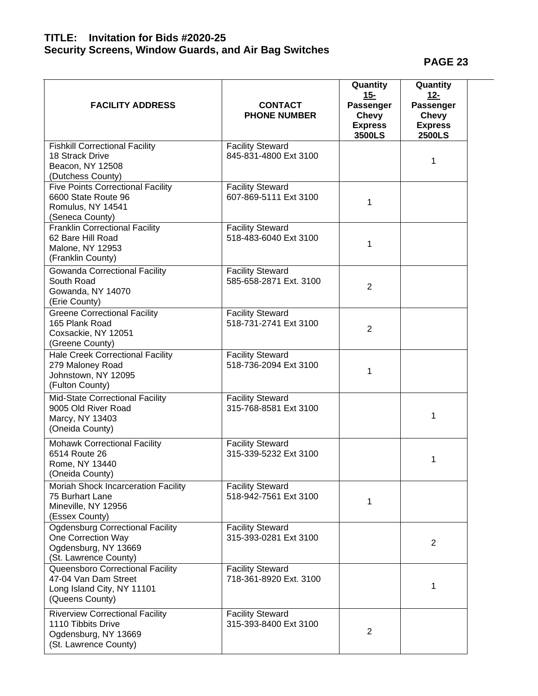**PAGE 23** 

| <b>FACILITY ADDRESS</b>                                                                                       | <b>CONTACT</b><br><b>PHONE NUMBER</b>             | Quantity<br>$15 -$<br>Passenger<br><b>Chevy</b><br><b>Express</b><br>3500LS | Quantity<br>$12 -$<br>Passenger<br><b>Chevy</b><br><b>Express</b><br><b>2500LS</b> |
|---------------------------------------------------------------------------------------------------------------|---------------------------------------------------|-----------------------------------------------------------------------------|------------------------------------------------------------------------------------|
| <b>Fishkill Correctional Facility</b><br><b>18 Strack Drive</b><br>Beacon, NY 12508<br>(Dutchess County)      | <b>Facility Steward</b><br>845-831-4800 Ext 3100  |                                                                             | 1                                                                                  |
| <b>Five Points Correctional Facility</b><br>6600 State Route 96<br>Romulus, NY 14541<br>(Seneca County)       | <b>Facility Steward</b><br>607-869-5111 Ext 3100  | 1                                                                           |                                                                                    |
| <b>Franklin Correctional Facility</b><br>62 Bare Hill Road<br>Malone, NY 12953<br>(Franklin County)           | <b>Facility Steward</b><br>518-483-6040 Ext 3100  | 1                                                                           |                                                                                    |
| <b>Gowanda Correctional Facility</b><br>South Road<br>Gowanda, NY 14070<br>(Erie County)                      | <b>Facility Steward</b><br>585-658-2871 Ext. 3100 | $\overline{2}$                                                              |                                                                                    |
| <b>Greene Correctional Facility</b><br>165 Plank Road<br>Coxsackie, NY 12051<br>(Greene County)               | <b>Facility Steward</b><br>518-731-2741 Ext 3100  | $\overline{2}$                                                              |                                                                                    |
| <b>Hale Creek Correctional Facility</b><br>279 Maloney Road<br>Johnstown, NY 12095<br>(Fulton County)         | <b>Facility Steward</b><br>518-736-2094 Ext 3100  | 1                                                                           |                                                                                    |
| Mid-State Correctional Facility<br>9005 Old River Road<br>Marcy, NY 13403<br>(Oneida County)                  | <b>Facility Steward</b><br>315-768-8581 Ext 3100  |                                                                             | 1                                                                                  |
| <b>Mohawk Correctional Facility</b><br>6514 Route 26<br>Rome, NY 13440<br>(Oneida County)                     | <b>Facility Steward</b><br>315-339-5232 Ext 3100  |                                                                             | 1                                                                                  |
| Moriah Shock Incarceration Facility<br>75 Burhart Lane<br>Mineville, NY 12956<br>(Essex County)               | <b>Facility Steward</b><br>518-942-7561 Ext 3100  | 1                                                                           |                                                                                    |
| Ogdensburg Correctional Facility<br>One Correction Way<br>Ogdensburg, NY 13669<br>(St. Lawrence County)       | <b>Facility Steward</b><br>315-393-0281 Ext 3100  |                                                                             | $\overline{2}$                                                                     |
| Queensboro Correctional Facility<br>47-04 Van Dam Street<br>Long Island City, NY 11101<br>(Queens County)     | <b>Facility Steward</b><br>718-361-8920 Ext. 3100 |                                                                             | 1                                                                                  |
| <b>Riverview Correctional Facility</b><br>1110 Tibbits Drive<br>Ogdensburg, NY 13669<br>(St. Lawrence County) | <b>Facility Steward</b><br>315-393-8400 Ext 3100  | $\overline{2}$                                                              |                                                                                    |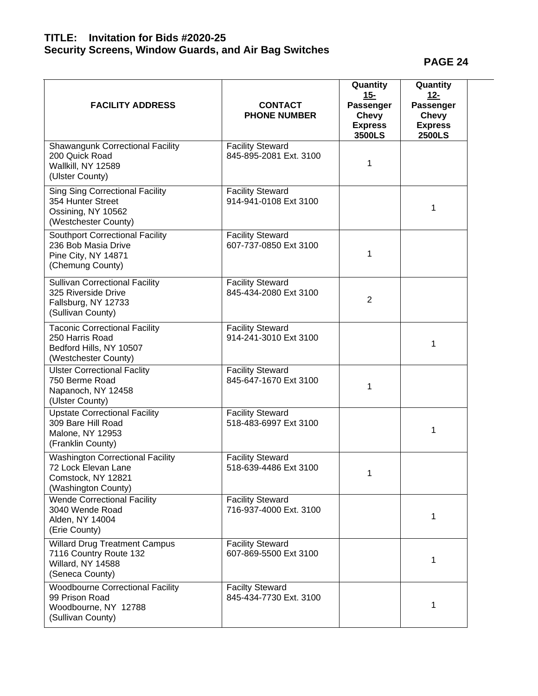**PAGE 24** 

٠

| <b>FACILITY ADDRESS</b>                                                                                     | <b>CONTACT</b><br><b>PHONE NUMBER</b>             | Quantity<br>$15 -$<br>Passenger<br><b>Chevy</b><br><b>Express</b><br>3500LS | Quantity<br>$12 -$<br>Passenger<br><b>Chevy</b><br><b>Express</b><br><b>2500LS</b> |  |
|-------------------------------------------------------------------------------------------------------------|---------------------------------------------------|-----------------------------------------------------------------------------|------------------------------------------------------------------------------------|--|
| Shawangunk Correctional Facility<br>200 Quick Road<br>Wallkill, NY 12589<br>(Ulster County)                 | <b>Facility Steward</b><br>845-895-2081 Ext. 3100 | 1                                                                           |                                                                                    |  |
| <b>Sing Sing Correctional Facility</b><br>354 Hunter Street<br>Ossining, NY 10562<br>(Westchester County)   | <b>Facility Steward</b><br>914-941-0108 Ext 3100  |                                                                             | 1                                                                                  |  |
| <b>Southport Correctional Facility</b><br>236 Bob Masia Drive<br>Pine City, NY 14871<br>(Chemung County)    | <b>Facility Steward</b><br>607-737-0850 Ext 3100  | 1                                                                           |                                                                                    |  |
| <b>Sullivan Correctional Facility</b><br>325 Riverside Drive<br>Fallsburg, NY 12733<br>(Sullivan County)    | <b>Facility Steward</b><br>845-434-2080 Ext 3100  | $\overline{2}$                                                              |                                                                                    |  |
| <b>Taconic Correctional Facility</b><br>250 Harris Road<br>Bedford Hills, NY 10507<br>(Westchester County)  | Facility Steward<br>914-241-3010 Ext 3100         |                                                                             | 1                                                                                  |  |
| <b>Ulster Correctional Faclity</b><br>750 Berme Road<br>Napanoch, NY 12458<br>(Ulster County)               | <b>Facility Steward</b><br>845-647-1670 Ext 3100  | 1                                                                           |                                                                                    |  |
| <b>Upstate Correctional Facility</b><br>309 Bare Hill Road<br>Malone, NY 12953<br>(Franklin County)         | <b>Facility Steward</b><br>518-483-6997 Ext 3100  |                                                                             | 1                                                                                  |  |
| <b>Washington Correctional Facility</b><br>72 Lock Elevan Lane<br>Comstock, NY 12821<br>(Washington County) | <b>Facility Steward</b><br>518-639-4486 Ext 3100  | 1                                                                           |                                                                                    |  |
| <b>Wende Correctional Facility</b><br>3040 Wende Road<br>Alden, NY 14004<br>(Erie County)                   | <b>Facility Steward</b><br>716-937-4000 Ext. 3100 |                                                                             | 1                                                                                  |  |
| <b>Willard Drug Treatment Campus</b><br>7116 Country Route 132<br>Willard, NY 14588<br>(Seneca County)      | <b>Facility Steward</b><br>607-869-5500 Ext 3100  |                                                                             | 1                                                                                  |  |
| <b>Woodbourne Correctional Facility</b><br>99 Prison Road<br>Woodbourne, NY 12788<br>(Sullivan County)      | <b>Facilty Steward</b><br>845-434-7730 Ext. 3100  |                                                                             | 1                                                                                  |  |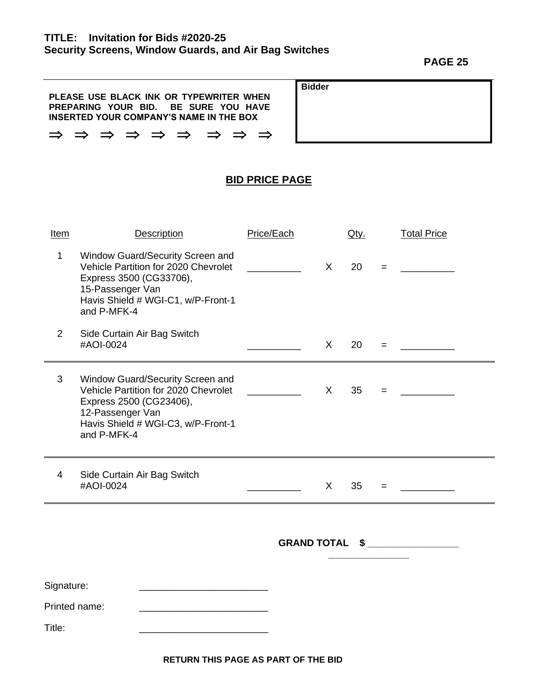**PAGE 25** 

|  | PLEASE USE BLACK INK OR TYPEWRITER WHEN<br>PREPARING YOUR BID. BE SURE YOU HAVE |  |  |  |  |
|--|---------------------------------------------------------------------------------|--|--|--|--|
|  | <b>INSERTED YOUR COMPANY'S NAME IN THE BOX</b>                                  |  |  |  |  |
|  | ⇒ ⇒ ⇒ ⇒ ⇒ ⇒ ⇒ ⇒                                                                 |  |  |  |  |

# **BID PRICE PAGE**

**Bidder**

| <b>Item</b>    | <b>Description</b>                                                                                                                                                           | Price/Each |          | Qty. |     | <b>Total Price</b>                 |
|----------------|------------------------------------------------------------------------------------------------------------------------------------------------------------------------------|------------|----------|------|-----|------------------------------------|
| 1              | Window Guard/Security Screen and<br>Vehicle Partition for 2020 Chevrolet<br>Express 3500 (CG33706),<br>15-Passenger Van<br>Havis Shield # WGI-C1, w/P-Front-1<br>and P-MFK-4 |            | X        | 20   | $=$ |                                    |
| 2              | Side Curtain Air Bag Switch<br>#AOI-0024                                                                                                                                     |            | $\times$ | 20   | $=$ |                                    |
| 3              | Window Guard/Security Screen and<br>Vehicle Partition for 2020 Chevrolet<br>Express 2500 (CG23406),<br>12-Passenger Van<br>Havis Shield # WGI-C3, w/P-Front-1<br>and P-MFK-4 |            | X        | 35   | $=$ |                                    |
| $\overline{4}$ | Side Curtain Air Bag Switch<br>#AOI-0024                                                                                                                                     |            | $X -$    | 35   |     | <b>Experience of the Community</b> |
|                |                                                                                                                                                                              |            |          |      |     | GRAND TOTAL \$                     |
| Signature:     |                                                                                                                                                                              |            |          |      |     |                                    |
| Printed name:  |                                                                                                                                                                              |            |          |      |     |                                    |
| Title:         |                                                                                                                                                                              |            |          |      |     |                                    |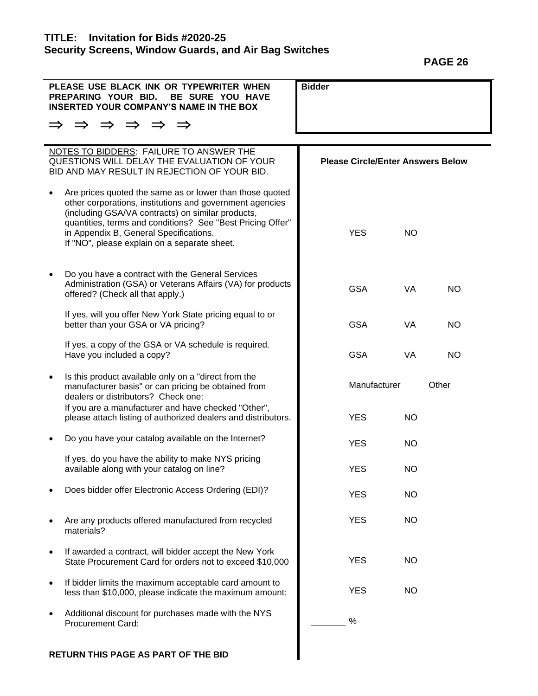**PAGE 26** 

| PLEASE USE BLACK INK OR TYPEWRITER WHEN<br>PREPARING YOUR BID.<br>BE SURE YOU HAVE<br><b>INSERTED YOUR COMPANY'S NAME IN THE BOX</b>                                                                                                                                                                                              | <b>Bidder</b>                            |           |
|-----------------------------------------------------------------------------------------------------------------------------------------------------------------------------------------------------------------------------------------------------------------------------------------------------------------------------------|------------------------------------------|-----------|
| $\Rightarrow$ $\Rightarrow$ $\Rightarrow$ $\Rightarrow$<br>$\Rightarrow$                                                                                                                                                                                                                                                          |                                          |           |
| NOTES TO BIDDERS: FAILURE TO ANSWER THE<br>QUESTIONS WILL DELAY THE EVALUATION OF YOUR<br>BID AND MAY RESULT IN REJECTION OF YOUR BID.                                                                                                                                                                                            | <b>Please Circle/Enter Answers Below</b> |           |
| Are prices quoted the same as or lower than those quoted<br>other corporations, institutions and government agencies<br>(including GSA/VA contracts) on similar products,<br>quantities, terms and conditions? See "Best Pricing Offer"<br>in Appendix B, General Specifications.<br>If "NO", please explain on a separate sheet. | <b>YES</b>                               | NO.       |
| Do you have a contract with the General Services<br>Administration (GSA) or Veterans Affairs (VA) for products<br>offered? (Check all that apply.)                                                                                                                                                                                | <b>GSA</b>                               | VA<br>NO. |
| If yes, will you offer New York State pricing equal to or<br>better than your GSA or VA pricing?                                                                                                                                                                                                                                  | <b>GSA</b>                               | VA<br>NO. |
| If yes, a copy of the GSA or VA schedule is required.<br>Have you included a copy?                                                                                                                                                                                                                                                | <b>GSA</b>                               | VA<br>NO. |
| Is this product available only on a "direct from the<br>$\bullet$<br>manufacturer basis" or can pricing be obtained from<br>dealers or distributors? Check one:                                                                                                                                                                   | Manufacturer                             | Other     |
| If you are a manufacturer and have checked "Other",<br>please attach listing of authorized dealers and distributors.                                                                                                                                                                                                              | <b>YES</b>                               | NO.       |
| Do you have your catalog available on the Internet?                                                                                                                                                                                                                                                                               | <b>YES</b>                               | NO.       |
| If yes, do you have the ability to make NYS pricing<br>available along with your catalog on line?                                                                                                                                                                                                                                 | <b>YES</b>                               | <b>NO</b> |
| Does bidder offer Electronic Access Ordering (EDI)?                                                                                                                                                                                                                                                                               | <b>YES</b>                               | <b>NO</b> |
| Are any products offered manufactured from recycled<br>materials?                                                                                                                                                                                                                                                                 | <b>YES</b>                               | NO.       |
| If awarded a contract, will bidder accept the New York<br>State Procurement Card for orders not to exceed \$10,000                                                                                                                                                                                                                | <b>YES</b>                               | NO.       |
| If bidder limits the maximum acceptable card amount to<br>٠<br>less than \$10,000, please indicate the maximum amount:                                                                                                                                                                                                            | <b>YES</b>                               | NO.       |
| Additional discount for purchases made with the NYS<br><b>Procurement Card:</b>                                                                                                                                                                                                                                                   | %                                        |           |
| RETURN THIS PAGE AS PART OF THE BID                                                                                                                                                                                                                                                                                               |                                          |           |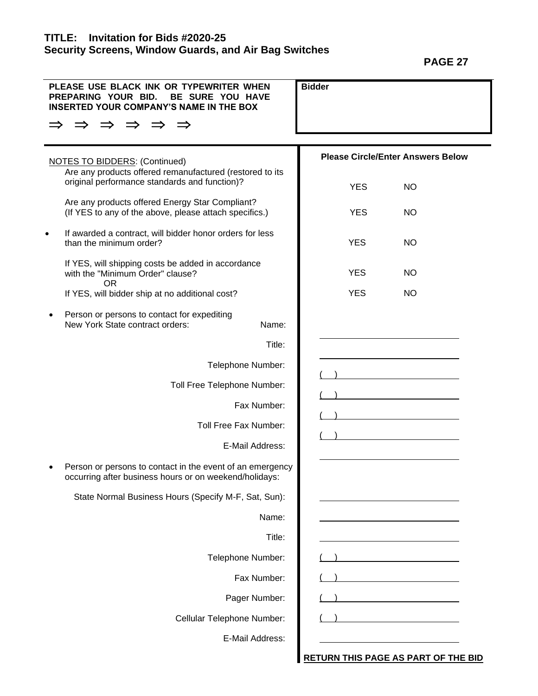**PAGE 27** 

| PLEASE USE BLACK INK OR TYPEWRITER WHEN<br>PREPARING YOUR BID.<br>BE SURE YOU HAVE<br><b>INSERTED YOUR COMPANY'S NAME IN THE BOX</b> | <b>Bidder</b>                            |
|--------------------------------------------------------------------------------------------------------------------------------------|------------------------------------------|
| $\Rightarrow$<br>$\Rightarrow$                                                                                                       |                                          |
| <b>NOTES TO BIDDERS: (Continued)</b><br>Are any products offered remanufactured (restored to its                                     | <b>Please Circle/Enter Answers Below</b> |
| original performance standards and function)?                                                                                        | <b>YES</b><br><b>NO</b>                  |
| Are any products offered Energy Star Compliant?<br>(If YES to any of the above, please attach specifics.)                            | <b>YES</b><br>NO                         |
| If awarded a contract, will bidder honor orders for less<br>than the minimum order?                                                  | <b>YES</b><br>NO                         |
| If YES, will shipping costs be added in accordance<br>with the "Minimum Order" clause?<br><b>OR</b>                                  | <b>YES</b><br>NO                         |
| If YES, will bidder ship at no additional cost?                                                                                      | <b>YES</b><br><b>NO</b>                  |
| Person or persons to contact for expediting<br>New York State contract orders:<br>Name:                                              |                                          |
| Title:                                                                                                                               |                                          |
| Telephone Number:                                                                                                                    |                                          |
| Toll Free Telephone Number:                                                                                                          |                                          |
| Fax Number:                                                                                                                          |                                          |
| Toll Free Fax Number:                                                                                                                |                                          |
| E-Mail Address:                                                                                                                      |                                          |
| Person or persons to contact in the event of an emergency<br>occurring after business hours or on weekend/holidays:                  |                                          |
| State Normal Business Hours (Specify M-F, Sat, Sun):                                                                                 |                                          |
| Name:                                                                                                                                |                                          |
| Title:                                                                                                                               |                                          |
| Telephone Number:                                                                                                                    |                                          |
| Fax Number:                                                                                                                          |                                          |
| Pager Number:                                                                                                                        |                                          |
| Cellular Telephone Number:                                                                                                           |                                          |
| E-Mail Address:                                                                                                                      |                                          |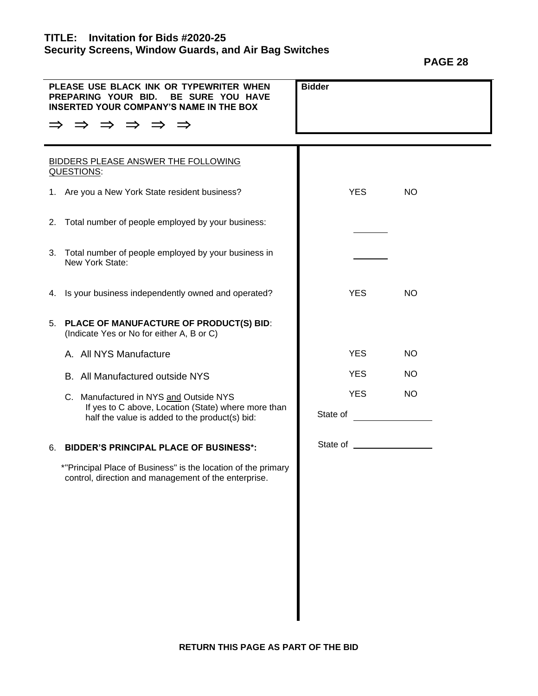| <b>PAGL</b> | D |
|-------------|---|
|             |   |

| PLEASE USE BLACK INK OR TYPEWRITER WHEN<br>PREPARING YOUR BID.<br>BE SURE YOU HAVE<br><b>INSERTED YOUR COMPANY'S NAME IN THE BOX</b><br>$\Rightarrow$ $\Rightarrow$ $\Rightarrow$ $\Rightarrow$<br>$\Rightarrow$ | <b>Bidder</b>           |
|------------------------------------------------------------------------------------------------------------------------------------------------------------------------------------------------------------------|-------------------------|
| BIDDERS PLEASE ANSWER THE FOLLOWING<br>QUESTIONS:                                                                                                                                                                |                         |
| 1. Are you a New York State resident business?                                                                                                                                                                   | <b>YES</b><br><b>NO</b> |
| Total number of people employed by your business:<br>2.                                                                                                                                                          |                         |
| Total number of people employed by your business in<br>3.<br>New York State:                                                                                                                                     |                         |
| Is your business independently owned and operated?<br>4.                                                                                                                                                         | <b>YES</b><br><b>NO</b> |
| 5. PLACE OF MANUFACTURE OF PRODUCT(S) BID:<br>(Indicate Yes or No for either A, B or C)                                                                                                                          |                         |
| A. All NYS Manufacture                                                                                                                                                                                           | <b>YES</b><br><b>NO</b> |
| B. All Manufactured outside NYS                                                                                                                                                                                  | <b>YES</b><br><b>NO</b> |
| C. Manufactured in NYS and Outside NYS                                                                                                                                                                           | <b>YES</b><br><b>NO</b> |
| If yes to C above, Location (State) where more than<br>half the value is added to the product(s) bid:                                                                                                            | State of                |
| <b>BIDDER'S PRINCIPAL PLACE OF BUSINESS*:</b><br>6.                                                                                                                                                              |                         |
| *"Principal Place of Business" is the location of the primary<br>control, direction and management of the enterprise.                                                                                            |                         |
|                                                                                                                                                                                                                  |                         |
|                                                                                                                                                                                                                  |                         |
|                                                                                                                                                                                                                  |                         |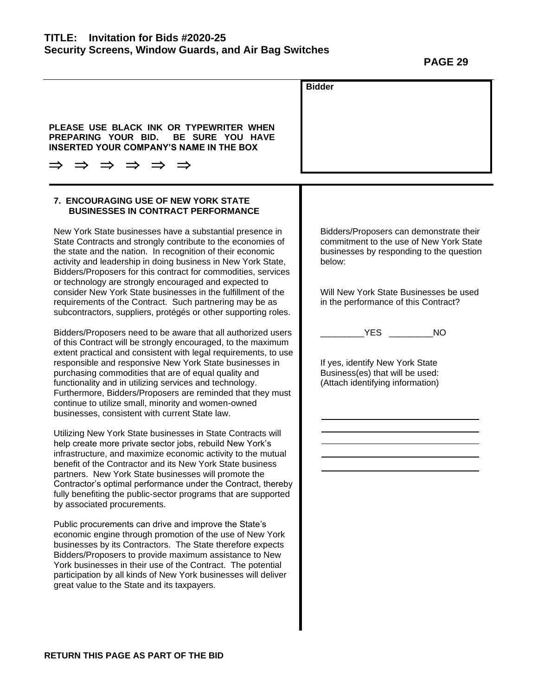**PAGE 29** 

|                                                                                                                                                                                                                                                                                                                                                                                                                                                                                                                                                                                                                                              | <b>Bidder</b>                                                                                                                                                                                                                                         |
|----------------------------------------------------------------------------------------------------------------------------------------------------------------------------------------------------------------------------------------------------------------------------------------------------------------------------------------------------------------------------------------------------------------------------------------------------------------------------------------------------------------------------------------------------------------------------------------------------------------------------------------------|-------------------------------------------------------------------------------------------------------------------------------------------------------------------------------------------------------------------------------------------------------|
| PLEASE USE BLACK INK OR TYPEWRITER WHEN<br>PREPARING YOUR BID.<br>BE SURE YOU HAVE<br><b>INSERTED YOUR COMPANY'S NAME IN THE BOX</b>                                                                                                                                                                                                                                                                                                                                                                                                                                                                                                         |                                                                                                                                                                                                                                                       |
| $\Rightarrow$ $\Rightarrow$ $\Rightarrow$<br>$\Rightarrow$                                                                                                                                                                                                                                                                                                                                                                                                                                                                                                                                                                                   |                                                                                                                                                                                                                                                       |
| <b>7. ENCOURAGING USE OF NEW YORK STATE</b><br><b>BUSINESSES IN CONTRACT PERFORMANCE</b>                                                                                                                                                                                                                                                                                                                                                                                                                                                                                                                                                     |                                                                                                                                                                                                                                                       |
| New York State businesses have a substantial presence in<br>State Contracts and strongly contribute to the economies of<br>the state and the nation. In recognition of their economic<br>activity and leadership in doing business in New York State,<br>Bidders/Proposers for this contract for commodities, services<br>or technology are strongly encouraged and expected to<br>consider New York State businesses in the fulfillment of the<br>requirements of the Contract. Such partnering may be as<br>subcontractors, suppliers, protégés or other supporting roles.<br>Bidders/Proposers need to be aware that all authorized users | Bidders/Proposers can demonstrate their<br>commitment to the use of New York State<br>businesses by responding to the question<br>below:<br>Will New York State Businesses be used<br>in the performance of this Contract?<br><b>YES</b><br><b>NO</b> |
| of this Contract will be strongly encouraged, to the maximum<br>extent practical and consistent with legal requirements, to use<br>responsible and responsive New York State businesses in<br>purchasing commodities that are of equal quality and<br>functionality and in utilizing services and technology.<br>Furthermore, Bidders/Proposers are reminded that they must<br>continue to utilize small, minority and women-owned<br>businesses, consistent with current State law.                                                                                                                                                         | If yes, identify New York State<br>Business(es) that will be used:<br>(Attach identifying information)                                                                                                                                                |
| Utilizing New York State businesses in State Contracts will<br>help create more private sector jobs, rebuild New York's<br>infrastructure, and maximize economic activity to the mutual<br>benefit of the Contractor and its New York State business<br>partners. New York State businesses will promote the<br>Contractor's optimal performance under the Contract, thereby<br>fully benefiting the public-sector programs that are supported<br>by associated procurements.                                                                                                                                                                |                                                                                                                                                                                                                                                       |
| Public procurements can drive and improve the State's<br>economic engine through promotion of the use of New York<br>businesses by its Contractors. The State therefore expects<br>Bidders/Proposers to provide maximum assistance to New<br>York businesses in their use of the Contract. The potential<br>participation by all kinds of New York businesses will deliver<br>great value to the State and its taxpayers.                                                                                                                                                                                                                    |                                                                                                                                                                                                                                                       |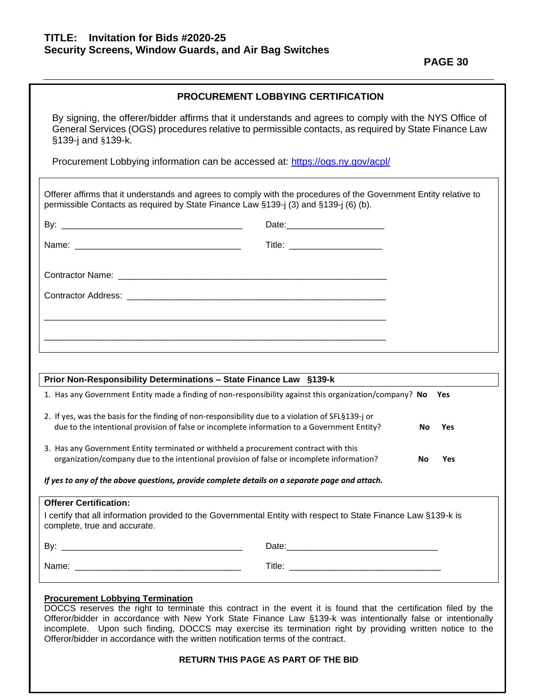**PAGE 30** 

By signing, the offerer/bidder affirms that it understands and agrees to comply with the NYS Office of General Services (OGS) procedures relative to permissible contacts, as required by State Finance Law §139-j and §139-k.

Procurement Lobbying information can be accessed at: <https://ogs.ny.gov/acpl/>

|                                                               | Prior Non-Responsibility Determinations - State Finance Law §139-k                                                                                                                               |                         |
|---------------------------------------------------------------|--------------------------------------------------------------------------------------------------------------------------------------------------------------------------------------------------|-------------------------|
|                                                               | 1. Has any Government Entity made a finding of non-responsibility against this organization/company? No                                                                                          | Yes                     |
|                                                               |                                                                                                                                                                                                  |                         |
|                                                               | 2. If yes, was the basis for the finding of non-responsibility due to a violation of SFL§139-j or<br>due to the intentional provision of false or incomplete information to a Government Entity? | <b>No</b><br>Yes        |
|                                                               | 3. Has any Government Entity terminated or withheld a procurement contract with this<br>organization/company due to the intentional provision of false or incomplete information?                | <b>No</b><br><b>Yes</b> |
|                                                               | If yes to any of the above questions, provide complete details on a separate page and attach.                                                                                                    |                         |
|                                                               |                                                                                                                                                                                                  |                         |
|                                                               | I certify that all information provided to the Governmental Entity with respect to State Finance Law §139-k is                                                                                   |                         |
| <b>Offerer Certification:</b><br>complete, true and accurate. |                                                                                                                                                                                                  |                         |

# **Procurement Lobbying Termination**

DOCCS reserves the right to terminate this contract in the event it is found that the certification filed by the Offeror/bidder in accordance with New York State Finance Law §139-k was intentionally false or intentionally incomplete. Upon such finding, DOCCS may exercise its termination right by providing written notice to the Offeror/bidder in accordance with the written notification terms of the contract.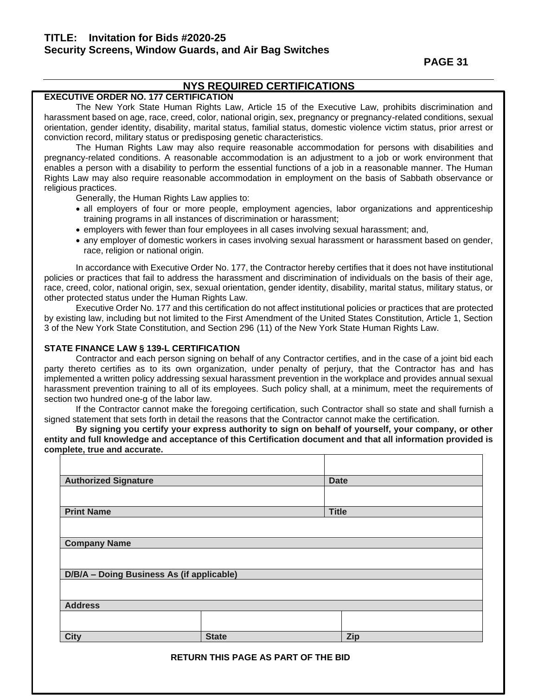**PAGE 31** 

# **NYS REQUIRED CERTIFICATIONS**

# **EXECUTIVE ORDER NO. 177 CERTIFICATION**

The New York State Human Rights Law, Article 15 of the Executive Law, prohibits discrimination and harassment based on age, race, creed, color, national origin, sex, pregnancy or pregnancy-related conditions, sexual orientation, gender identity, disability, marital status, familial status, domestic violence victim status, prior arrest or conviction record, military status or predisposing genetic characteristics.

The Human Rights Law may also require reasonable accommodation for persons with disabilities and pregnancy-related conditions. A reasonable accommodation is an adjustment to a job or work environment that enables a person with a disability to perform the essential functions of a job in a reasonable manner. The Human Rights Law may also require reasonable accommodation in employment on the basis of Sabbath observance or religious practices.

Generally, the Human Rights Law applies to:

- all employers of four or more people, employment agencies, labor organizations and apprenticeship training programs in all instances of discrimination or harassment;
- employers with fewer than four employees in all cases involving sexual harassment; and,
- any employer of domestic workers in cases involving sexual harassment or harassment based on gender, race, religion or national origin.

In accordance with Executive Order No. 177, the Contractor hereby certifies that it does not have institutional policies or practices that fail to address the harassment and discrimination of individuals on the basis of their age, race, creed, color, national origin, sex, sexual orientation, gender identity, disability, marital status, military status, or other protected status under the Human Rights Law.

Executive Order No. 177 and this certification do not affect institutional policies or practices that are protected by existing law, including but not limited to the First Amendment of the United States Constitution, Article 1, Section 3 of the New York State Constitution, and Section 296 (11) of the New York State Human Rights Law.

### **STATE FINANCE LAW § 139-L CERTIFICATION**

Contractor and each person signing on behalf of any Contractor certifies, and in the case of a joint bid each party thereto certifies as to its own organization, under penalty of perjury, that the Contractor has and has implemented a written policy addressing sexual harassment prevention in the workplace and provides annual sexual harassment prevention training to all of its employees. Such policy shall, at a minimum, meet the requirements of section two hundred one-g of the labor law.

If the Contractor cannot make the foregoing certification, such Contractor shall so state and shall furnish a signed statement that sets forth in detail the reasons that the Contractor cannot make the certification.

**By signing you certify your express authority to sign on behalf of yourself, your company, or other entity and full knowledge and acceptance of this Certification document and that all information provided is complete, true and accurate.**

| <b>Authorized Signature</b>               |              | <b>Date</b>  |  |  |
|-------------------------------------------|--------------|--------------|--|--|
|                                           |              |              |  |  |
| <b>Print Name</b>                         |              | <b>Title</b> |  |  |
|                                           |              |              |  |  |
| <b>Company Name</b>                       |              |              |  |  |
|                                           |              |              |  |  |
| D/B/A - Doing Business As (if applicable) |              |              |  |  |
|                                           |              |              |  |  |
| <b>Address</b>                            |              |              |  |  |
|                                           |              |              |  |  |
| <b>City</b>                               | <b>State</b> | Zip          |  |  |
|                                           |              |              |  |  |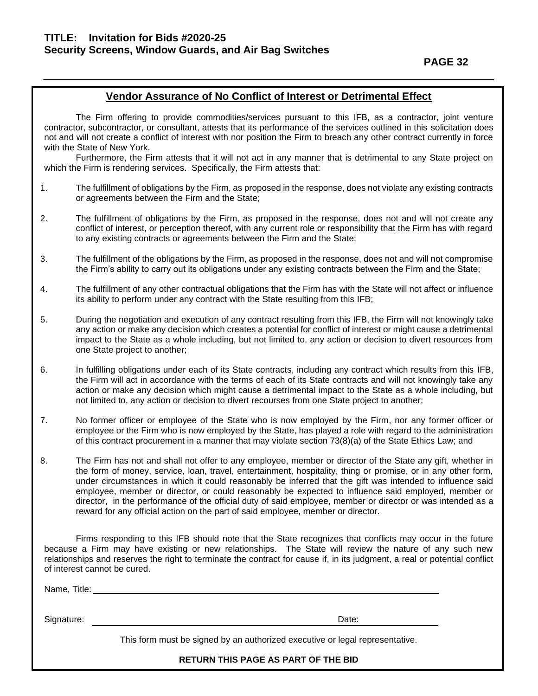# **Vendor Assurance of No Conflict of Interest or Detrimental Effect**

The Firm offering to provide commodities/services pursuant to this IFB, as a contractor, joint venture contractor, subcontractor, or consultant, attests that its performance of the services outlined in this solicitation does not and will not create a conflict of interest with nor position the Firm to breach any other contract currently in force with the State of New York.

Furthermore, the Firm attests that it will not act in any manner that is detrimental to any State project on which the Firm is rendering services. Specifically, the Firm attests that:

- 1. The fulfillment of obligations by the Firm, as proposed in the response, does not violate any existing contracts or agreements between the Firm and the State;
- 2. The fulfillment of obligations by the Firm, as proposed in the response, does not and will not create any conflict of interest, or perception thereof, with any current role or responsibility that the Firm has with regard to any existing contracts or agreements between the Firm and the State;
- 3. The fulfillment of the obligations by the Firm, as proposed in the response, does not and will not compromise the Firm's ability to carry out its obligations under any existing contracts between the Firm and the State;
- 4. The fulfillment of any other contractual obligations that the Firm has with the State will not affect or influence its ability to perform under any contract with the State resulting from this IFB;
- 5. During the negotiation and execution of any contract resulting from this IFB, the Firm will not knowingly take any action or make any decision which creates a potential for conflict of interest or might cause a detrimental impact to the State as a whole including, but not limited to, any action or decision to divert resources from one State project to another;
- 6. In fulfilling obligations under each of its State contracts, including any contract which results from this IFB, the Firm will act in accordance with the terms of each of its State contracts and will not knowingly take any action or make any decision which might cause a detrimental impact to the State as a whole including, but not limited to, any action or decision to divert recourses from one State project to another;
- 7. No former officer or employee of the State who is now employed by the Firm, nor any former officer or employee or the Firm who is now employed by the State, has played a role with regard to the administration of this contract procurement in a manner that may violate section 73(8)(a) of the State Ethics Law; and
- 8. The Firm has not and shall not offer to any employee, member or director of the State any gift, whether in the form of money, service, loan, travel, entertainment, hospitality, thing or promise, or in any other form, under circumstances in which it could reasonably be inferred that the gift was intended to influence said employee, member or director, or could reasonably be expected to influence said employed, member or director, in the performance of the official duty of said employee, member or director or was intended as a reward for any official action on the part of said employee, member or director.

Firms responding to this IFB should note that the State recognizes that conflicts may occur in the future because a Firm may have existing or new relationships. The State will review the nature of any such new relationships and reserves the right to terminate the contract for cause if, in its judgment, a real or potential conflict of interest cannot be cured.

Name, Title:

Signature: Date: Date: Date: Date: Date: Date: Date: Date: Date: Date: Date: Date: Date: Date: Date: Date: Date: Date: Date: Date: Date: Date: Date: Date: Date: Date: Date: Date: Date: Date: Date: Date: Date: Date: Date: D

This form must be signed by an authorized executive or legal representative.